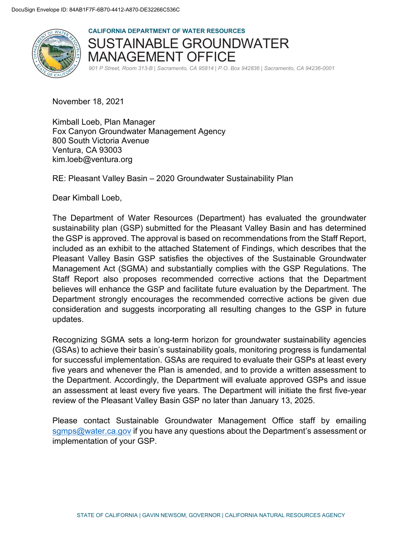

**CALIFORNIA DEPARTMENT OF WATER RESOURCES**  SUSTAINABLE GROUNDWATER MANAGEMENT OFFICE

*901 P Street, Room 313-B | Sacramento, CA 95814 | P.O. Box 942836 | Sacramento, CA 94236-0001*

November 18, 2021

Kimball Loeb, Plan Manager Fox Canyon Groundwater Management Agency 800 South Victoria Avenue Ventura, CA 93003 kim.loeb@ventura.org

RE: Pleasant Valley Basin – 2020 Groundwater Sustainability Plan

Dear Kimball Loeb,

The Department of Water Resources (Department) has evaluated the groundwater sustainability plan (GSP) submitted for the Pleasant Valley Basin and has determined the GSP is approved. The approval is based on recommendations from the Staff Report, included as an exhibit to the attached Statement of Findings, which describes that the Pleasant Valley Basin GSP satisfies the objectives of the Sustainable Groundwater Management Act (SGMA) and substantially complies with the GSP Regulations. The Staff Report also proposes recommended corrective actions that the Department believes will enhance the GSP and facilitate future evaluation by the Department. The Department strongly encourages the recommended corrective actions be given due consideration and suggests incorporating all resulting changes to the GSP in future updates.

Recognizing SGMA sets a long-term horizon for groundwater sustainability agencies (GSAs) to achieve their basin's sustainability goals, monitoring progress is fundamental for successful implementation. GSAs are required to evaluate their GSPs at least every five years and whenever the Plan is amended, and to provide a written assessment to the Department. Accordingly, the Department will evaluate approved GSPs and issue an assessment at least every five years. The Department will initiate the first five-year review of the Pleasant Valley Basin GSP no later than January 13, 2025.

Please contact Sustainable Groundwater Management Office staff by emailing sgmps@water.ca.gov if you have any questions about the Department's assessment or implementation of your GSP.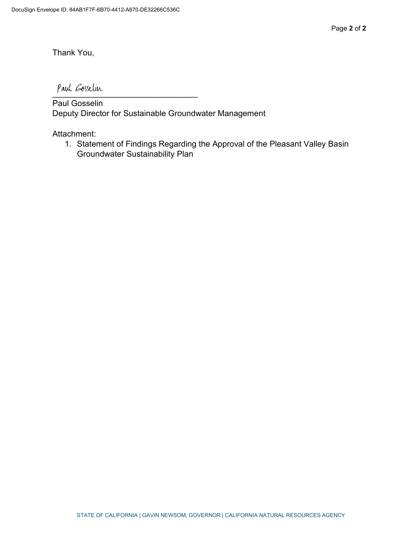Thank You,

 $\overline{\phantom{a}}$ 

Paul Gosselin Deputy Director for Sustainable Groundwater Management

Attachment:

1. Statement of Findings Regarding the Approval of the Pleasant Valley Basin Groundwater Sustainability Plan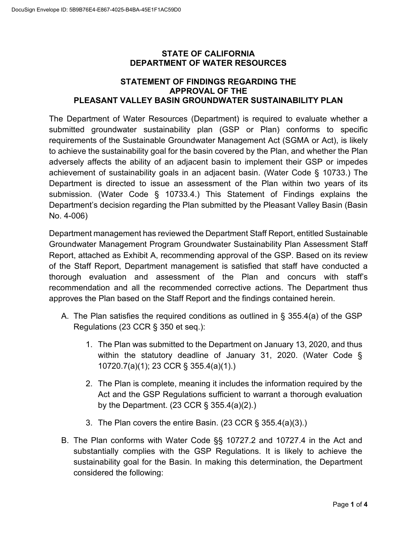#### **STATE OF CALIFORNIA DEPARTMENT OF WATER RESOURCES**

## **STATEMENT OF FINDINGS REGARDING THE APPROVAL OF THE PLEASANT VALLEY BASIN GROUNDWATER SUSTAINABILITY PLAN**

The Department of Water Resources (Department) is required to evaluate whether a submitted groundwater sustainability plan (GSP or Plan) conforms to specific requirements of the Sustainable Groundwater Management Act (SGMA or Act), is likely to achieve the sustainability goal for the basin covered by the Plan, and whether the Plan adversely affects the ability of an adjacent basin to implement their GSP or impedes achievement of sustainability goals in an adjacent basin. (Water Code § 10733.) The Department is directed to issue an assessment of the Plan within two years of its submission. (Water Code § 10733.4.) This Statement of Findings explains the Department's decision regarding the Plan submitted by the Pleasant Valley Basin (Basin No. 4-006)

Department management has reviewed the Department Staff Report, entitled Sustainable Groundwater Management Program Groundwater Sustainability Plan Assessment Staff Report, attached as Exhibit A, recommending approval of the GSP. Based on its review of the Staff Report, Department management is satisfied that staff have conducted a thorough evaluation and assessment of the Plan and concurs with staff's recommendation and all the recommended corrective actions. The Department thus approves the Plan based on the Staff Report and the findings contained herein.

- A. The Plan satisfies the required conditions as outlined in § 355.4(a) of the GSP Regulations (23 CCR § 350 et seq.):
	- 1. The Plan was submitted to the Department on January 13, 2020, and thus within the statutory deadline of January 31, 2020. (Water Code § 10720.7(a)(1); 23 CCR § 355.4(a)(1).)
	- 2. The Plan is complete, meaning it includes the information required by the Act and the GSP Regulations sufficient to warrant a thorough evaluation by the Department. (23 CCR § 355.4(a)(2).)
	- 3. The Plan covers the entire Basin. (23 CCR § 355.4(a)(3).)
- B. The Plan conforms with Water Code §§ 10727.2 and 10727.4 in the Act and substantially complies with the GSP Regulations. It is likely to achieve the sustainability goal for the Basin. In making this determination, the Department considered the following: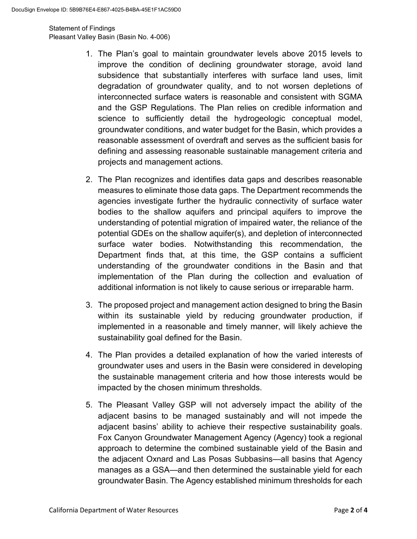Statement of Findings Pleasant Valley Basin (Basin No. 4-006)

- 1. The Plan's goal to maintain groundwater levels above 2015 levels to improve the condition of declining groundwater storage, avoid land subsidence that substantially interferes with surface land uses, limit degradation of groundwater quality, and to not worsen depletions of interconnected surface waters is reasonable and consistent with SGMA and the GSP Regulations. The Plan relies on credible information and science to sufficiently detail the hydrogeologic conceptual model, groundwater conditions, and water budget for the Basin, which provides a reasonable assessment of overdraft and serves as the sufficient basis for defining and assessing reasonable sustainable management criteria and projects and management actions.
- 2. The Plan recognizes and identifies data gaps and describes reasonable measures to eliminate those data gaps. The Department recommends the agencies investigate further the hydraulic connectivity of surface water bodies to the shallow aquifers and principal aquifers to improve the understanding of potential migration of impaired water, the reliance of the potential GDEs on the shallow aquifer(s), and depletion of interconnected surface water bodies. Notwithstanding this recommendation, the Department finds that, at this time, the GSP contains a sufficient understanding of the groundwater conditions in the Basin and that implementation of the Plan during the collection and evaluation of additional information is not likely to cause serious or irreparable harm.
- 3. The proposed project and management action designed to bring the Basin within its sustainable yield by reducing groundwater production, if implemented in a reasonable and timely manner, will likely achieve the sustainability goal defined for the Basin.
- 4. The Plan provides a detailed explanation of how the varied interests of groundwater uses and users in the Basin were considered in developing the sustainable management criteria and how those interests would be impacted by the chosen minimum thresholds.
- 5. The Pleasant Valley GSP will not adversely impact the ability of the adjacent basins to be managed sustainably and will not impede the adjacent basins' ability to achieve their respective sustainability goals. Fox Canyon Groundwater Management Agency (Agency) took a regional approach to determine the combined sustainable yield of the Basin and the adjacent Oxnard and Las Posas Subbasins—all basins that Agency manages as a GSA—and then determined the sustainable yield for each groundwater Basin. The Agency established minimum thresholds for each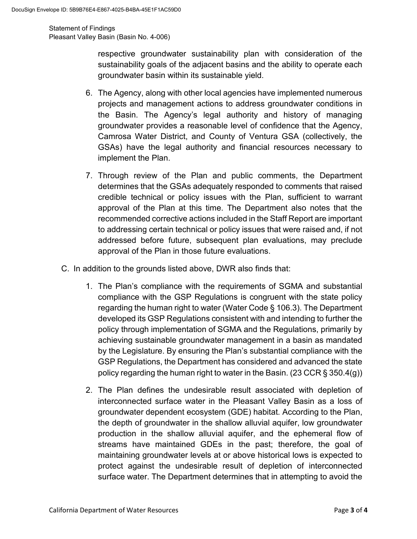Statement of Findings Pleasant Valley Basin (Basin No. 4-006)

> respective groundwater sustainability plan with consideration of the sustainability goals of the adjacent basins and the ability to operate each groundwater basin within its sustainable yield.

- 6. The Agency, along with other local agencies have implemented numerous projects and management actions to address groundwater conditions in the Basin. The Agency's legal authority and history of managing groundwater provides a reasonable level of confidence that the Agency, Camrosa Water District, and County of Ventura GSA (collectively, the GSAs) have the legal authority and financial resources necessary to implement the Plan.
- 7. Through review of the Plan and public comments, the Department determines that the GSAs adequately responded to comments that raised credible technical or policy issues with the Plan, sufficient to warrant approval of the Plan at this time. The Department also notes that the recommended corrective actions included in the Staff Report are important to addressing certain technical or policy issues that were raised and, if not addressed before future, subsequent plan evaluations, may preclude approval of the Plan in those future evaluations.
- C. In addition to the grounds listed above, DWR also finds that:
	- 1. The Plan's compliance with the requirements of SGMA and substantial compliance with the GSP Regulations is congruent with the state policy regarding the human right to water (Water Code § 106.3). The Department developed its GSP Regulations consistent with and intending to further the policy through implementation of SGMA and the Regulations, primarily by achieving sustainable groundwater management in a basin as mandated by the Legislature. By ensuring the Plan's substantial compliance with the GSP Regulations, the Department has considered and advanced the state policy regarding the human right to water in the Basin. (23 CCR § 350.4(g))
	- 2. The Plan defines the undesirable result associated with depletion of interconnected surface water in the Pleasant Valley Basin as a loss of groundwater dependent ecosystem (GDE) habitat. According to the Plan, the depth of groundwater in the shallow alluvial aquifer, low groundwater production in the shallow alluvial aquifer, and the ephemeral flow of streams have maintained GDEs in the past; therefore, the goal of maintaining groundwater levels at or above historical lows is expected to protect against the undesirable result of depletion of interconnected surface water. The Department determines that in attempting to avoid the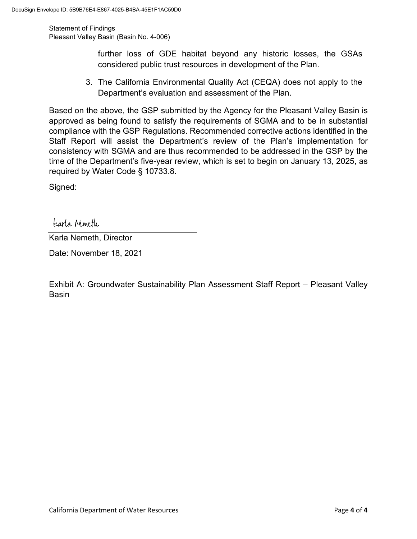Statement of Findings Pleasant Valley Basin (Basin No. 4-006)

> further loss of GDE habitat beyond any historic losses, the GSAs considered public trust resources in development of the Plan.

3. The California Environmental Quality Act (CEQA) does not apply to the Department's evaluation and assessment of the Plan.

Based on the above, the GSP submitted by the Agency for the Pleasant Valley Basin is approved as being found to satisfy the requirements of SGMA and to be in substantial compliance with the GSP Regulations. Recommended corrective actions identified in the Staff Report will assist the Department's review of the Plan's implementation for consistency with SGMA and are thus recommended to be addressed in the GSP by the time of the Department's five-year review, which is set to begin on January 13, 2025, as required by Water Code § 10733.8.

Signed:

tearla Nemeth

Karla Nemeth, Director

Date: November 18, 2021

Exhibit A: Groundwater Sustainability Plan Assessment Staff Report – Pleasant Valley Basin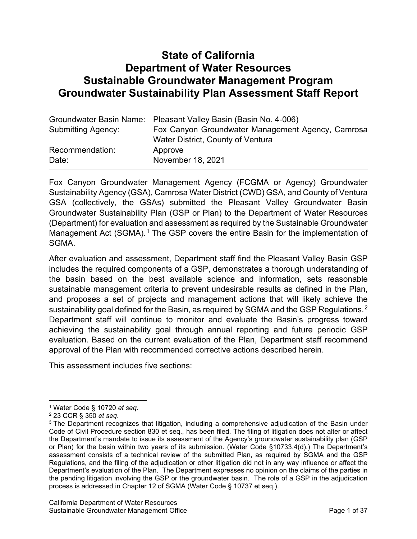# **State of California Department of Water Resources Sustainable Groundwater Management Program Groundwater Sustainability Plan Assessment Staff Report**

|                           | Groundwater Basin Name: Pleasant Valley Basin (Basin No. 4-006) |
|---------------------------|-----------------------------------------------------------------|
| <b>Submitting Agency:</b> | Fox Canyon Groundwater Management Agency, Camrosa               |
|                           | Water District, County of Ventura                               |
| Recommendation:           | Approve                                                         |
| Date:                     | November 18, 2021                                               |

Fox Canyon Groundwater Management Agency (FCGMA or Agency) Groundwater Sustainability Agency (GSA), Camrosa Water District (CWD) GSA, and County of Ventura GSA (collectively, the GSAs) submitted the Pleasant Valley Groundwater Basin Groundwater Sustainability Plan (GSP or Plan) to the Department of Water Resources (Department) for evaluation and assessment as required by the Sustainable Groundwater Management Act (SGMA).<sup>[1](#page-6-0)</sup> The GSP covers the entire Basin for the implementation of SGMA.

After evaluation and assessment, Department staff find the Pleasant Valley Basin GSP includes the required components of a GSP, demonstrates a thorough understanding of the basin based on the best available science and information, sets reasonable sustainable management criteria to prevent undesirable results as defined in the Plan, and proposes a set of projects and management actions that will likely achieve the sustainability goal defined for the Basin, as required by SGMA and the GSP Regulations.<sup>[2](#page-6-1)</sup> Department staff will continue to monitor and evaluate the Basin's progress toward achieving the sustainability goal through annual reporting and future periodic GSP evaluation. Based on the current evaluation of the Plan, Department staff [r](#page-6-2)ecommend approval of the Plan with recommended corrective actions described herein.

This assessment includes five sections:

<span id="page-6-0"></span><sup>1</sup> Water Code § 10720 *et seq*.

<span id="page-6-1"></span><sup>2</sup> 23 CCR § 350 *et seq*.

<span id="page-6-2"></span><sup>&</sup>lt;sup>3</sup> The Department recognizes that litigation, including a comprehensive adjudication of the Basin under Code of Civil Procedure section 830 et seq., has been filed. The filing of litigation does not alter or affect the Department's mandate to issue its assessment of the Agency's groundwater sustainability plan (GSP or Plan) for the basin within two years of its submission. (Water Code §10733.4(d).) The Department's assessment consists of a technical review of the submitted Plan, as required by SGMA and the GSP Regulations, and the filing of the adjudication or other litigation did not in any way influence or affect the Department's evaluation of the Plan. The Department expresses no opinion on the claims of the parties in the pending litigation involving the GSP or the groundwater basin. The role of a GSP in the adjudication process is addressed in Chapter 12 of SGMA (Water Code § 10737 et seq.).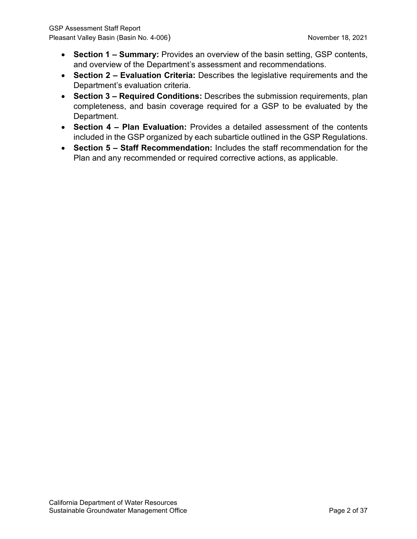- **Section 1 – Summary:** Provides an overview of the basin setting, GSP contents, and overview of the Department's assessment and recommendations.
- **Section 2 – Evaluation Criteria:** Describes the legislative requirements and the Department's evaluation criteria.
- **Section 3 – Required Conditions:** Describes the submission requirements, plan completeness, and basin coverage required for a GSP to be evaluated by the Department.
- **Section 4 – Plan Evaluation:** Provides a detailed assessment of the contents included in the GSP organized by each subarticle outlined in the GSP Regulations.
- **Section 5 – Staff Recommendation:** Includes the staff recommendation for the Plan and any recommended or required corrective actions, as applicable.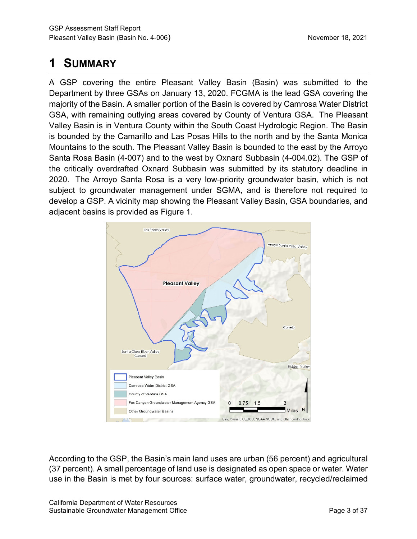# **1 SUMMARY**

A GSP covering the entire Pleasant Valley Basin (Basin) was submitted to the Department by three GSAs on January 13, 2020. FCGMA is the lead GSA covering the majority of the Basin. A smaller portion of the Basin is covered by Camrosa Water District GSA, with remaining outlying areas covered by County of Ventura GSA. The Pleasant Valley Basin is in Ventura County within the South Coast Hydrologic Region. The Basin is bounded by the Camarillo and Las Posas Hills to the north and by the Santa Monica Mountains to the south. The Pleasant Valley Basin is bounded to the east by the Arroyo Santa Rosa Basin (4-007) and to the west by Oxnard Subbasin (4-004.02). The GSP of the critically overdrafted Oxnard Subbasin was submitted by its statutory deadline in 2020. The Arroyo Santa Rosa is a very low-priority groundwater basin, which is not subject to groundwater management under SGMA, and is therefore not required to develop a GSP. A vicinity map showing the Pleasant Valley Basin, GSA boundaries, and adjacent basins is provided as Figure 1.



According to the GSP, the Basin's main land uses are urban (56 percent) and agricultural (37 percent). A small percentage of land use is designated as open space or water. Water use in the Basin is met by four sources: surface water, groundwater, recycled/reclaimed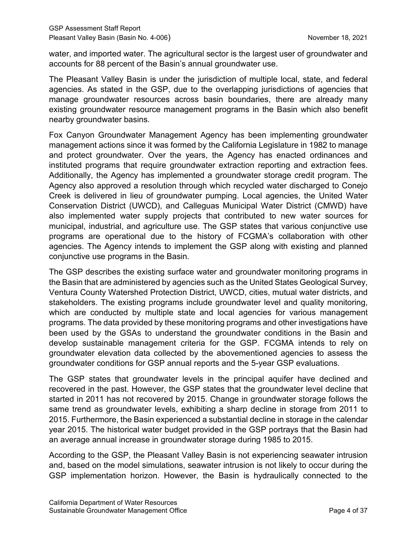water, and imported water. The agricultural sector is the largest user of groundwater and accounts for 88 percent of the Basin's annual groundwater use.

The Pleasant Valley Basin is under the jurisdiction of multiple local, state, and federal agencies. As stated in the GSP, due to the overlapping jurisdictions of agencies that manage groundwater resources across basin boundaries, there are already many existing groundwater resource management programs in the Basin which also benefit nearby groundwater basins.

Fox Canyon Groundwater Management Agency has been implementing groundwater management actions since it was formed by the California Legislature in 1982 to manage and protect groundwater. Over the years, the Agency has enacted ordinances and instituted programs that require groundwater extraction reporting and extraction fees. Additionally, the Agency has implemented a groundwater storage credit program. The Agency also approved a resolution through which recycled water discharged to Conejo Creek is delivered in lieu of groundwater pumping. Local agencies, the United Water Conservation District (UWCD), and Calleguas Municipal Water District (CMWD) have also implemented water supply projects that contributed to new water sources for municipal, industrial, and agriculture use. The GSP states that various conjunctive use programs are operational due to the history of FCGMA's collaboration with other agencies. The Agency intends to implement the GSP along with existing and planned conjunctive use programs in the Basin.

The GSP describes the existing surface water and groundwater monitoring programs in the Basin that are administered by agencies such as the United States Geological Survey, Ventura County Watershed Protection District, UWCD, cities, mutual water districts, and stakeholders. The existing programs include groundwater level and quality monitoring, which are conducted by multiple state and local agencies for various management programs. The data provided by these monitoring programs and other investigations have been used by the GSAs to understand the groundwater conditions in the Basin and develop sustainable management criteria for the GSP. FCGMA intends to rely on groundwater elevation data collected by the abovementioned agencies to assess the groundwater conditions for GSP annual reports and the 5-year GSP evaluations.

The GSP states that groundwater levels in the principal aquifer have declined and recovered in the past. However, the GSP states that the groundwater level decline that started in 2011 has not recovered by 2015. Change in groundwater storage follows the same trend as groundwater levels, exhibiting a sharp decline in storage from 2011 to 2015. Furthermore, the Basin experienced a substantial decline in storage in the calendar year 2015. The historical water budget provided in the GSP portrays that the Basin had an average annual increase in groundwater storage during 1985 to 2015.

According to the GSP, the Pleasant Valley Basin is not experiencing seawater intrusion and, based on the model simulations, seawater intrusion is not likely to occur during the GSP implementation horizon. However, the Basin is hydraulically connected to the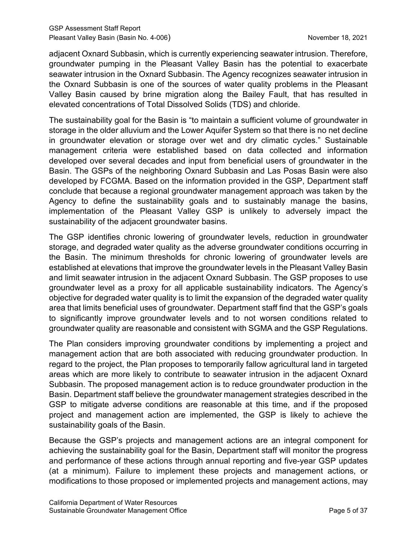adjacent Oxnard Subbasin, which is currently experiencing seawater intrusion. Therefore, groundwater pumping in the Pleasant Valley Basin has the potential to exacerbate seawater intrusion in the Oxnard Subbasin. The Agency recognizes seawater intrusion in the Oxnard Subbasin is one of the sources of water quality problems in the Pleasant Valley Basin caused by brine migration along the Bailey Fault, that has resulted in elevated concentrations of Total Dissolved Solids (TDS) and chloride.

The sustainability goal for the Basin is "to maintain a sufficient volume of groundwater in storage in the older alluvium and the Lower Aquifer System so that there is no net decline in groundwater elevation or storage over wet and dry climatic cycles." Sustainable management criteria were established based on data collected and information developed over several decades and input from beneficial users of groundwater in the Basin. The GSPs of the neighboring Oxnard Subbasin and Las Posas Basin were also developed by FCGMA. Based on the information provided in the GSP, Department staff conclude that because a regional groundwater management approach was taken by the Agency to define the sustainability goals and to sustainably manage the basins, implementation of the Pleasant Valley GSP is unlikely to adversely impact the sustainability of the adjacent groundwater basins.

The GSP identifies chronic lowering of groundwater levels, reduction in groundwater storage, and degraded water quality as the adverse groundwater conditions occurring in the Basin. The minimum thresholds for chronic lowering of groundwater levels are established at elevations that improve the groundwater levels in the Pleasant Valley Basin and limit seawater intrusion in the adjacent Oxnard Subbasin. The GSP proposes to use groundwater level as a proxy for all applicable sustainability indicators. The Agency's objective for degraded water quality is to limit the expansion of the degraded water quality area that limits beneficial uses of groundwater. Department staff find that the GSP's goals to significantly improve groundwater levels and to not worsen conditions related to groundwater quality are reasonable and consistent with SGMA and the GSP Regulations.

The Plan considers improving groundwater conditions by implementing a project and management action that are both associated with reducing groundwater production. In regard to the project, the Plan proposes to temporarily fallow agricultural land in targeted areas which are more likely to contribute to seawater intrusion in the adjacent Oxnard Subbasin. The proposed management action is to reduce groundwater production in the Basin. Department staff believe the groundwater management strategies described in the GSP to mitigate adverse conditions are reasonable at this time, and if the proposed project and management action are implemented, the GSP is likely to achieve the sustainability goals of the Basin.

Because the GSP's projects and management actions are an integral component for achieving the sustainability goal for the Basin, Department staff will monitor the progress and performance of these actions through annual reporting and five-year GSP updates (at a minimum). Failure to implement these projects and management actions, or modifications to those proposed or implemented projects and management actions, may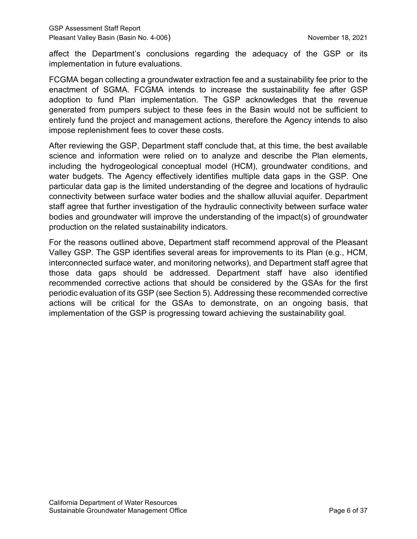affect the Department's conclusions regarding the adequacy of the GSP or its implementation in future evaluations.

FCGMA began collecting a groundwater extraction fee and a sustainability fee prior to the enactment of SGMA. FCGMA intends to increase the sustainability fee after GSP adoption to fund Plan implementation. The GSP acknowledges that the revenue generated from pumpers subject to these fees in the Basin would not be sufficient to entirely fund the project and management actions, therefore the Agency intends to also impose replenishment fees to cover these costs.

After reviewing the GSP, Department staff conclude that, at this time, the best available science and information were relied on to analyze and describe the Plan elements, including the hydrogeological conceptual model (HCM), groundwater conditions, and water budgets. The Agency effectively identifies multiple data gaps in the GSP. One particular data gap is the limited understanding of the degree and locations of hydraulic connectivity between surface water bodies and the shallow alluvial aquifer. Department staff agree that further investigation of the hydraulic connectivity between surface water bodies and groundwater will improve the understanding of the impact(s) of groundwater production on the related sustainability indicators.

For the reasons outlined above, Department staff recommend approval of the Pleasant Valley GSP. The GSP identifies several areas for improvements to its Plan (e.g., HCM, interconnected surface water, and monitoring networks), and Department staff agree that those data gaps should be addressed. Department staff have also identified recommended corrective actions that should be considered by the GSAs for the first periodic evaluation of its GSP (see Section 5). Addressing these recommended corrective actions will be critical for the GSAs to demonstrate, on an ongoing basis, that implementation of the GSP is progressing toward achieving the sustainability goal.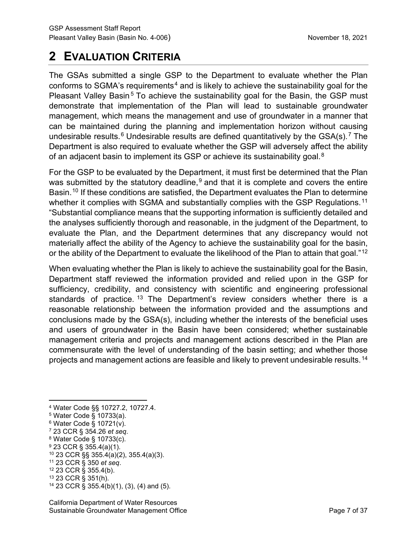# **2 EVALUATION CRITERIA**

The GSAs submitted a single GSP to the Department to evaluate whether the Plan conforms to SGMA's requirements<sup>[4](#page-12-0)</sup> and is likely to achieve the sustainability goal for the Pleasant Valley Basin<sup>[5](#page-12-1)</sup> To achieve the sustainability goal for the Basin, the GSP must demonstrate that implementation of the Plan will lead to sustainable groundwater management, which means the management and use of groundwater in a manner that can be maintained during the planning and implementation horizon without causing undesirable results.<sup>[6](#page-12-2)</sup> Undesirable results are defined quantitatively by the GSA(s).<sup>[7](#page-12-3)</sup> The Department is also required to evaluate whether the GSP will adversely affect the ability of an adjacent basin to implement its GSP or achieve its sustainability goal.<sup>[8](#page-12-4)</sup>

For the GSP to be evaluated by the Department, it must first be determined that the Plan was submitted by the statutory deadline,  $9$  and that it is complete and covers the entire Basin. [10](#page-27-0) If these conditions are satisfied, the Department evaluates the Plan to determine whether it complies with SGMA and substantially complies with the GSP Regulations.<sup>[11](#page-12-6)</sup> "Substantial compliance means that the supporting information is sufficiently detailed and the analyses sufficiently thorough and reasonable, in the judgment of the Department, to evaluate the Plan, and the Department determines that any discrepancy would not materially affect the ability of the Agency to achieve the sustainability goal for the basin, or the ability of the Department to evaluate the likelihood of the Plan to attain that goal."<sup>[12](#page-12-7)</sup>

When evaluating whether the Plan is likely to achieve the sustainability goal for the Basin, Department staff reviewed the information provided and relied upon in the GSP for sufficiency, credibility, and consistency with scientific and engineering professional standards of practice.<sup>[13](#page-12-8)</sup> The Department's review considers whether there is a reasonable relationship between the information provided and the assumptions and conclusions made by the GSA(s), including whether the interests of the beneficial uses and users of groundwater in the Basin have been considered; whether sustainable management criteria and projects and management actions described in the Plan are commensurate with the level of understanding of the basin setting; and whether those projects and management actions are feasible and likely to prevent undesirable results.[14](#page-12-9)

- <span id="page-12-1"></span><sup>5</sup> Water Code § 10733(a).
- <span id="page-12-2"></span> $6$  Water Code § 10721(v).
- <span id="page-12-3"></span><sup>7</sup> 23 CCR § 354.26 *et seq*.
- <span id="page-12-4"></span><sup>8</sup> Water Code § 10733(c).
- <span id="page-12-5"></span><sup>9</sup> 23 CCR § 355.4(a)(1).
- <sup>10</sup> 23 CCR §§ 355.4(a)(2), 355.4(a)(3).
- <span id="page-12-6"></span><sup>11</sup> 23 CCR § 350 *et seq*.
- <span id="page-12-7"></span><sup>12</sup> 23 CCR § 355.4(b).
- <span id="page-12-8"></span><sup>13</sup> 23 CCR § 351(h).
- <span id="page-12-9"></span><sup>14</sup> 23 CCR § 355.4(b)(1), (3), (4) and (5).

<span id="page-12-0"></span><sup>4</sup> Water Code §§ 10727.2, 10727.4.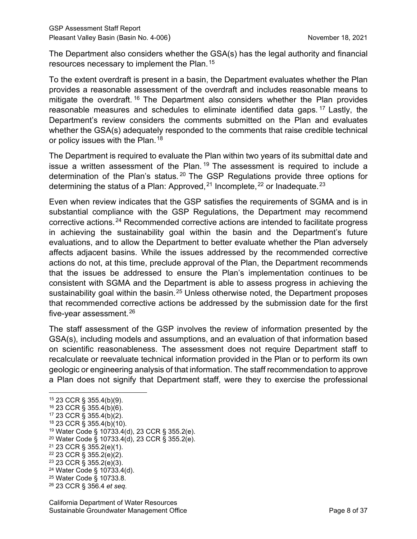The Department also considers whether the GSA(s) has the legal authority and financial resources necessary to implement the Plan.<sup>[15](#page-13-0)</sup>

To the extent overdraft is present in a basin, the Department evaluates whether the Plan provides a reasonable assessment of the overdraft and includes reasonable means to mitigate the overdraft.<sup>[16](#page-13-1)</sup> The Department also considers whether the Plan provides reasonable measures and schedules to eliminate identified data gaps. [17](#page-13-2) Lastly, the Department's review considers the comments submitted on the Plan and evaluates whether the GSA(s) adequately responded to the comments that raise credible technical or policy issues with the Plan.<sup>[18](#page-13-3)</sup>

The Department is required to evaluate the Plan within two years of its submittal date and issue a written assessment of the Plan.<sup>[19](#page-13-4)</sup> The assessment is required to include a determination of the Plan's status. [20](#page-13-5) The GSP Regulations provide three options for determining the status of a Plan: Approved,  $21$  Incomplete,  $22$  or Inadequate.  $23$ 

Even when review indicates that the GSP satisfies the requirements of SGMA and is in substantial compliance with the GSP Regulations, the Department may recommend corrective actions.[24](#page-13-9) Recommended corrective actions are intended to facilitate progress in achieving the sustainability goal within the basin and the Department's future evaluations, and to allow the Department to better evaluate whether the Plan adversely affects adjacent basins. While the issues addressed by the recommended corrective actions do not, at this time, preclude approval of the Plan, the Department recommends that the issues be addressed to ensure the Plan's implementation continues to be consistent with SGMA and the Department is able to assess progress in achieving the sustainability goal within the basin.<sup>[25](#page-13-10)</sup> Unless otherwise noted, the Department proposes that recommended corrective actions be addressed by the submission date for the first five-year assessment. $26$ 

The staff assessment of the GSP involves the review of information presented by the GSA(s), including models and assumptions, and an evaluation of that information based on scientific reasonableness. The assessment does not require Department staff to recalculate or reevaluate technical information provided in the Plan or to perform its own geologic or engineering analysis of that information. The staff recommendation to approve a Plan does not signify that Department staff, were they to exercise the professional

<span id="page-13-4"></span><sup>19</sup> Water Code § 10733.4(d), 23 CCR § 355.2(e).

- <span id="page-13-6"></span><sup>21</sup> 23 CCR § 355.2(e)(1).
- <span id="page-13-7"></span><sup>22</sup> 23 CCR § 355.2(e)(2).
- <span id="page-13-8"></span> $23$  23 CCR § 355.2(e)(3).

<span id="page-13-10"></span><sup>25</sup> Water Code § 10733.8.

<span id="page-13-0"></span><sup>15</sup> 23 CCR § 355.4(b)(9).

<span id="page-13-1"></span><sup>16</sup> 23 CCR § 355.4(b)(6).

<span id="page-13-2"></span><sup>17</sup> 23 CCR § 355.4(b)(2).

<span id="page-13-3"></span> $18$  23 CCR § 355.4(b)(10).

<span id="page-13-5"></span><sup>20</sup> Water Code § 10733.4(d), 23 CCR § 355.2(e).

<span id="page-13-9"></span><sup>24</sup> Water Code § 10733.4(d).

<span id="page-13-11"></span><sup>26</sup> 23 CCR § 356.4 *et seq*.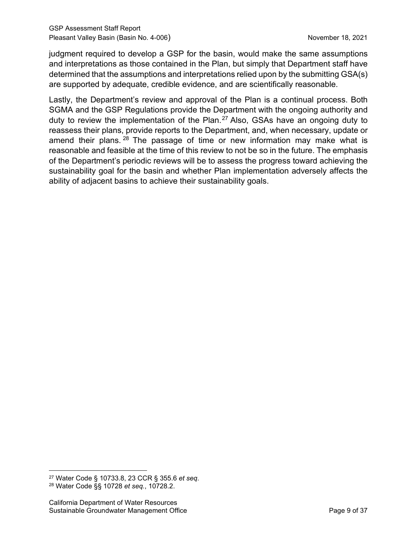judgment required to develop a GSP for the basin, would make the same assumptions and interpretations as those contained in the Plan, but simply that Department staff have determined that the assumptions and interpretations relied upon by the submitting GSA(s) are supported by adequate, credible evidence, and are scientifically reasonable.

Lastly, the Department's review and approval of the Plan is a continual process. Both SGMA and the GSP Regulations provide the Department with the ongoing authority and duty to review the implementation of the Plan.<sup>[27](#page-14-0)</sup> Also, GSAs have an ongoing duty to reassess their plans, provide reports to the Department, and, when necessary, update or amend their plans.  $28$  The passage of time or new information may make what is reasonable and feasible at the time of this review to not be so in the future. The emphasis of the Department's periodic reviews will be to assess the progress toward achieving the sustainability goal for the basin and whether Plan implementation adversely affects the ability of adjacent basins to achieve their sustainability goals.

<span id="page-14-1"></span><span id="page-14-0"></span><sup>27</sup> Water Code § 10733.8, 23 CCR § 355.6 *et seq*. <sup>28</sup> Water Code §§ 10728 *et seq.*, 10728.2.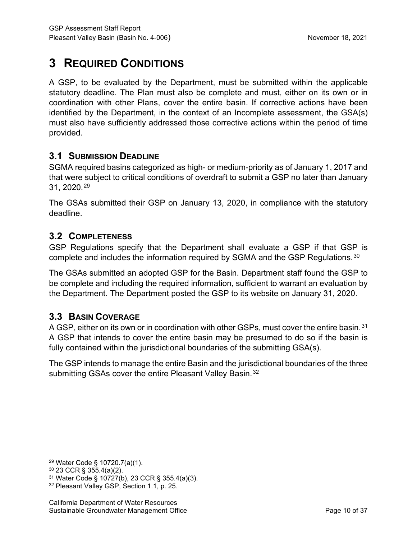# **3 REQUIRED CONDITIONS**

A GSP, to be evaluated by the Department, must be submitted within the applicable statutory deadline. The Plan must also be complete and must, either on its own or in coordination with other Plans, cover the entire basin. If corrective actions have been identified by the Department, in the context of an Incomplete assessment, the GSA(s) must also have sufficiently addressed those corrective actions within the period of time provided.

# **3.1 SUBMISSION DEADLINE**

SGMA required basins categorized as high- or medium-priority as of January 1, 2017 and that were subject to critical conditions of overdraft to submit a GSP no later than January 31, 2020.[29](#page-15-0)

The GSAs submitted their GSP on January 13, 2020, in compliance with the statutory deadline.

# **3.2 COMPLETENESS**

GSP Regulations specify that the Department shall evaluate a GSP if that GSP is complete and includes the information required by SGMA and the GSP Regulations.<sup>[30](#page-15-1)</sup>

The GSAs submitted an adopted GSP for the Basin. Department staff found the GSP to be complete and including the required information, sufficient to warrant an evaluation by the Department. The Department posted the GSP to its website on January 31, 2020.

# **3.3 BASIN COVERAGE**

A GSP, either on its own or in coordination with other GSPs, must cover the entire basin.<sup>[31](#page-15-2)</sup> A GSP that intends to cover the entire basin may be presumed to do so if the basin is fully contained within the jurisdictional boundaries of the submitting GSA(s).

The GSP intends to manage the entire Basin and the jurisdictional boundaries of the three submitting GSAs cover the entire Pleasant Valley Basin.<sup>[32](#page-15-3)</sup>

<span id="page-15-0"></span><sup>29</sup> Water Code § 10720.7(a)(1).

<span id="page-15-1"></span><sup>30</sup> 23 CCR § 355.4(a)(2).

<span id="page-15-2"></span><sup>31</sup> Water Code § 10727(b), 23 CCR § 355.4(a)(3).

<span id="page-15-3"></span><sup>32</sup> Pleasant Valley GSP, Section 1.1, p. 25.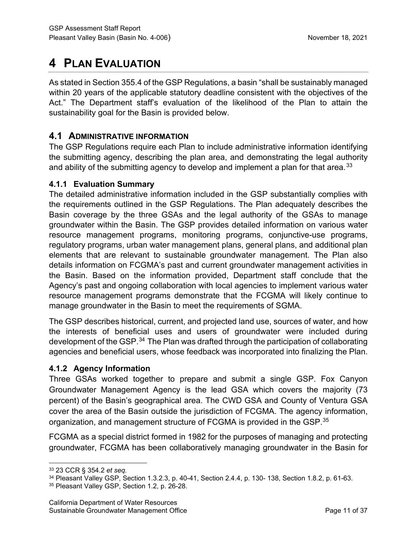# **4 PLAN EVALUATION**

As stated in Section 355.4 of the GSP Regulations, a basin "shall be sustainably managed within 20 years of the applicable statutory deadline consistent with the objectives of the Act." The Department staff's evaluation of the likelihood of the Plan to attain the sustainability goal for the Basin is provided below.

# **4.1 ADMINISTRATIVE INFORMATION**

The GSP Regulations require each Plan to include administrative information identifying the submitting agency, describing the plan area, and demonstrating the legal authority and ability of the submitting agency to develop and implement a plan for that area.<sup>[33](#page-16-0)</sup>

## **4.1.1 Evaluation Summary**

The detailed administrative information included in the GSP substantially complies with the requirements outlined in the GSP Regulations. The Plan adequately describes the Basin coverage by the three GSAs and the legal authority of the GSAs to manage groundwater within the Basin. The GSP provides detailed information on various water resource management programs, monitoring programs, conjunctive-use programs, regulatory programs, urban water management plans, general plans, and additional plan elements that are relevant to sustainable groundwater management. The Plan also details information on FCGMA's past and current groundwater management activities in the Basin. Based on the information provided, Department staff conclude that the Agency's past and ongoing collaboration with local agencies to implement various water resource management programs demonstrate that the FCGMA will likely continue to manage groundwater in the Basin to meet the requirements of SGMA.

The GSP describes historical, current, and projected land use, sources of water, and how the interests of beneficial uses and users of groundwater were included during development of the GSP.<sup>[34](#page-16-1)</sup> The Plan was drafted through the participation of collaborating agencies and beneficial users, whose feedback was incorporated into finalizing the Plan.

# **4.1.2 Agency Information**

Three GSAs worked together to prepare and submit a single GSP. Fox Canyon Groundwater Management Agency is the lead GSA which covers the majority (73 percent) of the Basin's geographical area. The CWD GSA and County of Ventura GSA cover the area of the Basin outside the jurisdiction of FCGMA. The agency information, organization, and management structure of FCGMA is provided in the GSP. $^{\rm 35}$  $^{\rm 35}$  $^{\rm 35}$ 

FCGMA as a special district formed in 1982 for the purposes of managing and protecting groundwater, FCGMA has been collaboratively managing groundwater in the Basin for

<span id="page-16-0"></span><sup>33</sup> 23 CCR § 354.2 *et seq*.

<span id="page-16-1"></span><sup>34</sup> Pleasant Valley GSP, Section 1.3.2.3, p. 40-41, Section 2.4.4, p. 130- 138, Section 1.8.2, p. 61-63.

<span id="page-16-2"></span><sup>35</sup> Pleasant Valley GSP, Section 1.2, p. 26-28.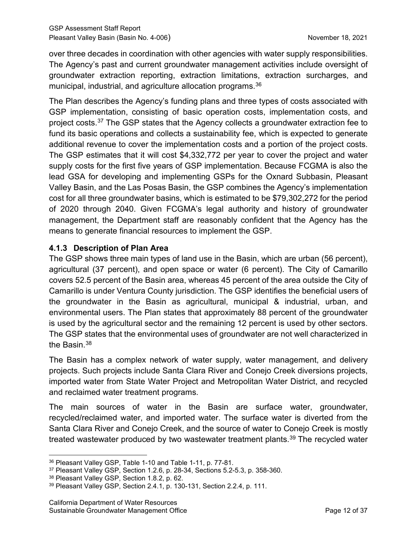over three decades in coordination with other agencies with water supply responsibilities. The Agency's past and current groundwater management activities include oversight of groundwater extraction reporting, extraction limitations, extraction surcharges, and municipal, industrial, and agriculture allocation programs.[36](#page-17-0)

The Plan describes the Agency's funding plans and three types of costs associated with GSP implementation, consisting of basic operation costs, implementation costs, and project costs. [37](#page-17-1) The GSP states that the Agency collects a groundwater extraction fee to fund its basic operations and collects a sustainability fee, which is expected to generate additional revenue to cover the implementation costs and a portion of the project costs. The GSP estimates that it will cost \$4,332,772 per year to cover the project and water supply costs for the first five years of GSP implementation. Because FCGMA is also the lead GSA for developing and implementing GSPs for the Oxnard Subbasin, Pleasant Valley Basin, and the Las Posas Basin, the GSP combines the Agency's implementation cost for all three groundwater basins, which is estimated to be \$79,302,272 for the period of 2020 through 2040. Given FCGMA's legal authority and history of groundwater management, the Department staff are reasonably confident that the Agency has the means to generate financial resources to implement the GSP.

## **4.1.3 Description of Plan Area**

The GSP shows three main types of land use in the Basin, which are urban (56 percent), agricultural (37 percent), and open space or water (6 percent). The City of Camarillo covers 52.5 percent of the Basin area, whereas 45 percent of the area outside the City of Camarillo is under Ventura County jurisdiction. The GSP identifies the beneficial users of the groundwater in the Basin as agricultural, municipal & industrial, urban, and environmental users. The Plan states that approximately 88 percent of the groundwater is used by the agricultural sector and the remaining 12 percent is used by other sectors. The GSP states that the environmental uses of groundwater are not well characterized in the Basin.<sup>[38](#page-17-2)</sup>

The Basin has a complex network of water supply, water management, and delivery projects. Such projects include Santa Clara River and Conejo Creek diversions projects, imported water from State Water Project and Metropolitan Water District, and recycled and reclaimed water treatment programs.

The main sources of water in the Basin are surface water, groundwater, recycled/reclaimed water, and imported water. The surface water is diverted from the Santa Clara River and Conejo Creek, and the source of water to Conejo Creek is mostly treated wastewater produced by two wastewater treatment plants.<sup>39</sup> The recycled water

<span id="page-17-0"></span><sup>36</sup> Pleasant Valley GSP, Table 1-10 and Table 1-11, p. 77-81.

<span id="page-17-1"></span><sup>37</sup> Pleasant Valley GSP, Section 1.2.6, p. 28-34, Sections 5.2-5.3, p. 358-360.

<span id="page-17-2"></span><sup>38</sup> Pleasant Valley GSP, Section 1.8.2, p. 62.

<span id="page-17-3"></span><sup>39</sup> Pleasant Valley GSP, Section 2.4.1, p. 130-131, Section 2.2.4, p. 111.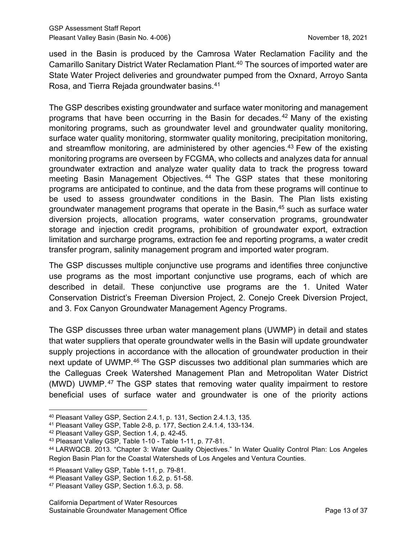used in the Basin is produced by the Camrosa Water Reclamation Facility and the Camarillo Sanitary District Water Reclamation Plant.[40](#page-18-0) The sources of imported water are State Water Project deliveries and groundwater pumped from the Oxnard, Arroyo Santa Rosa, and Tierra Rejada groundwater basins.[41](#page-18-1)

The GSP describes existing groundwater and surface water monitoring and management programs that have been occurring in the Basin for decades.<sup>[42](#page-18-2)</sup> Many of the existing monitoring programs, such as groundwater level and groundwater quality monitoring, surface water quality monitoring, stormwater quality monitoring, precipitation monitoring, and streamflow monitoring, are administered by other agencies.<sup>[43](#page-18-3)</sup> Few of the existing monitoring programs are overseen by FCGMA, who collects and analyzes data for annual groundwater extraction and analyze water quality data to track the progress toward meeting Basin Management Objectives.<sup>[44](#page-18-4)</sup> The GSP states that these monitoring programs are anticipated to continue, and the data from these programs will continue to be used to assess groundwater conditions in the Basin. The Plan lists existing groundwater management programs that operate in the Basin, [45](#page-18-5) such as surface water diversion projects, allocation programs, water conservation programs, groundwater storage and injection credit programs, prohibition of groundwater export, extraction limitation and surcharge programs, extraction fee and reporting programs, a water credit transfer program, salinity management program and imported water program.

The GSP discusses multiple conjunctive use programs and identifies three conjunctive use programs as the most important conjunctive use programs, each of which are described in detail. These conjunctive use programs are the 1. United Water Conservation District's Freeman Diversion Project, 2. Conejo Creek Diversion Project, and 3. Fox Canyon Groundwater Management Agency Programs.

The GSP discusses three urban water management plans (UWMP) in detail and states that water suppliers that operate groundwater wells in the Basin will update groundwater supply projections in accordance with the allocation of groundwater production in their next update of UWMP.<sup>[46](#page-18-6)</sup> The GSP discusses two additional plan summaries which are the Calleguas Creek Watershed Management Plan and Metropolitan Water District (MWD) UWMP. [47](#page-18-7) The GSP states that removing water quality impairment to restore beneficial uses of surface water and groundwater is one of the priority actions

<span id="page-18-0"></span><sup>40</sup> Pleasant Valley GSP, Section 2.4.1, p. 131, Section 2.4.1.3, 135.

<span id="page-18-1"></span><sup>41</sup> Pleasant Valley GSP, Table 2-8, p. 177, Section 2.4.1.4, 133-134.

<span id="page-18-2"></span><sup>42</sup> Pleasant Valley GSP, Section 1.4, p. 42-45.

<span id="page-18-3"></span><sup>43</sup> Pleasant Valley GSP, Table 1-10 - Table 1-11, p. 77-81.

<span id="page-18-4"></span><sup>44</sup> LARWQCB. 2013. "Chapter 3: Water Quality Objectives." In Water Quality Control Plan: Los Angeles Region Basin Plan for the Coastal Watersheds of Los Angeles and Ventura Counties.

<span id="page-18-5"></span><sup>45</sup> Pleasant Valley GSP, Table 1-11, p. 79-81.

<span id="page-18-6"></span><sup>46</sup> Pleasant Valley GSP, Section 1.6.2, p. 51-58.

<span id="page-18-7"></span><sup>47</sup> Pleasant Valley GSP, Section 1.6.3, p. 58.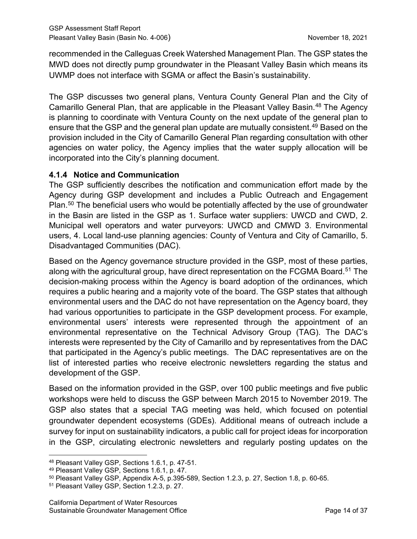recommended in the Calleguas Creek Watershed Management Plan. The GSP states the MWD does not directly pump groundwater in the Pleasant Valley Basin which means its UWMP does not interface with SGMA or affect the Basin's sustainability.

The GSP discusses two general plans, Ventura County General Plan and the City of Camarillo General Plan, that are applicable in the Pleasant Valley Basin. [48](#page-19-0) The Agency is planning to coordinate with Ventura County on the next update of the general plan to ensure that the GSP and the general plan update are mutually consistent.<sup>[49](#page-19-1)</sup> Based on the provision included in the City of Camarillo General Plan regarding consultation with other agencies on water policy, the Agency implies that the water supply allocation will be incorporated into the City's planning document.

## **4.1.4 Notice and Communication**

The GSP sufficiently describes the notification and communication effort made by the Agency during GSP development and includes a Public Outreach and Engagement Plan.<sup>[50](#page-19-2)</sup> The beneficial users who would be potentially affected by the use of groundwater in the Basin are listed in the GSP as 1. Surface water suppliers: UWCD and CWD, 2. Municipal well operators and water purveyors: UWCD and CMWD 3. Environmental users, 4. Local land-use planning agencies: County of Ventura and City of Camarillo, 5. Disadvantaged Communities (DAC).

Based on the Agency governance structure provided in the GSP, most of these parties, along with the agricultural group, have direct representation on the FCGMA Board.<sup>[51](#page-19-3)</sup> The decision-making process within the Agency is board adoption of the ordinances, which requires a public hearing and a majority vote of the board. The GSP states that although environmental users and the DAC do not have representation on the Agency board, they had various opportunities to participate in the GSP development process. For example, environmental users' interests were represented through the appointment of an environmental representative on the Technical Advisory Group (TAG). The DAC's interests were represented by the City of Camarillo and by representatives from the DAC that participated in the Agency's public meetings. The DAC representatives are on the list of interested parties who receive electronic newsletters regarding the status and development of the GSP.

Based on the information provided in the GSP, over 100 public meetings and five public workshops were held to discuss the GSP between March 2015 to November 2019. The GSP also states that a special TAG meeting was held, which focused on potential groundwater dependent ecosystems (GDEs). Additional means of outreach include a survey for input on sustainability indicators, a public call for project ideas for incorporation in the GSP, circulating electronic newsletters and regularly posting updates on the

<span id="page-19-0"></span><sup>48</sup> Pleasant Valley GSP, Sections 1.6.1, p. 47-51.

<span id="page-19-1"></span><sup>49</sup> Pleasant Valley GSP, Sections 1.6.1, p. 47.

<span id="page-19-2"></span> $50$  Pleasant Valley GSP, Appendix A-5, p.395-589, Section 1.2.3, p. 27, Section 1.8, p. 60-65.

<span id="page-19-3"></span><sup>51</sup> Pleasant Valley GSP, Section 1.2.3, p. 27.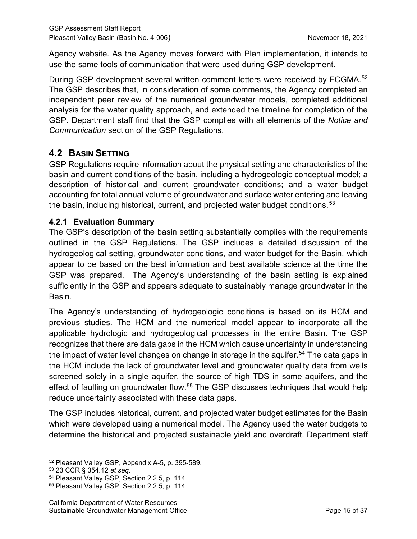Agency website. As the Agency moves forward with Plan implementation, it intends to use the same tools of communication that were used during GSP development.

During GSP development several written comment letters were received by FCGMA.<sup>[52](#page-20-0)</sup> The GSP describes that, in consideration of some comments, the Agency completed an independent peer review of the numerical groundwater models, completed additional analysis for the water quality approach, and extended the timeline for completion of the GSP. Department staff find that the GSP complies with all elements of the *Notice and Communication* section of the GSP Regulations.

# **4.2 BASIN SETTING**

GSP Regulations require information about the physical setting and characteristics of the basin and current conditions of the basin, including a hydrogeologic conceptual model; a description of historical and current groundwater conditions; and a water budget accounting for total annual volume of groundwater and surface water entering and leaving the basin, including historical, current, and projected water budget conditions.<sup>[53](#page-20-1)</sup>

# **4.2.1 Evaluation Summary**

The GSP's description of the basin setting substantially complies with the requirements outlined in the GSP Regulations. The GSP includes a detailed discussion of the hydrogeological setting, groundwater conditions, and water budget for the Basin, which appear to be based on the best information and best available science at the time the GSP was prepared. The Agency's understanding of the basin setting is explained sufficiently in the GSP and appears adequate to sustainably manage groundwater in the Basin.

The Agency's understanding of hydrogeologic conditions is based on its HCM and previous studies. The HCM and the numerical model appear to incorporate all the applicable hydrologic and hydrogeological processes in the entire Basin. The GSP recognizes that there are data gaps in the HCM which cause uncertainty in understanding the impact of water level changes on change in storage in the aquifer.<sup>[54](#page-20-2)</sup> The data gaps in the HCM include the lack of groundwater level and groundwater quality data from wells screened solely in a single aquifer, the source of high TDS in some aquifers, and the effect of faulting on groundwater flow.<sup>[55](#page-20-3)</sup> The GSP discusses techniques that would help reduce uncertainly associated with these data gaps.

The GSP includes historical, current, and projected water budget estimates for the Basin which were developed using a numerical model. The Agency used the water budgets to determine the historical and projected sustainable yield and overdraft. Department staff

<span id="page-20-0"></span><sup>52</sup> Pleasant Valley GSP, Appendix A-5, p. 395-589.

<span id="page-20-1"></span><sup>53</sup> 23 CCR § 354.12 *et seq.*

<span id="page-20-2"></span><sup>54</sup> Pleasant Valley GSP, Section 2.2.5, p. 114.

<span id="page-20-3"></span><sup>55</sup> Pleasant Valley GSP, Section 2.2.5, p. 114.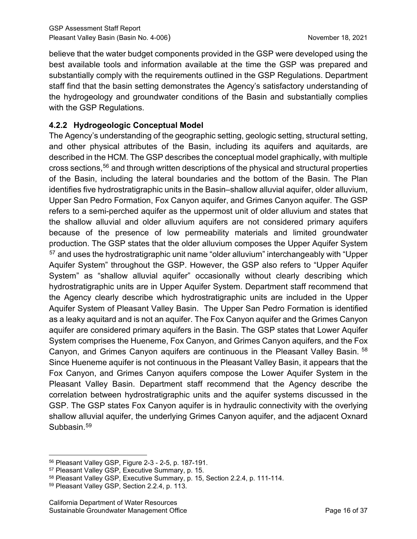believe that the water budget components provided in the GSP were developed using the best available tools and information available at the time the GSP was prepared and substantially comply with the requirements outlined in the GSP Regulations. Department staff find that the basin setting demonstrates the Agency's satisfactory understanding of the hydrogeology and groundwater conditions of the Basin and substantially complies with the GSP Regulations.

# **4.2.2 Hydrogeologic Conceptual Model**

The Agency's understanding of the geographic setting, geologic setting, structural setting, and other physical attributes of the Basin, including its aquifers and aquitards, are described in the HCM. The GSP describes the conceptual model graphically, with multiple cross sections,[56](#page-21-0) and through written descriptions of the physical and structural properties of the Basin, including the lateral boundaries and the bottom of the Basin. The Plan identifies five hydrostratigraphic units in the Basin–shallow alluvial aquifer, older alluvium, Upper San Pedro Formation, Fox Canyon aquifer, and Grimes Canyon aquifer. The GSP refers to a semi-perched aquifer as the uppermost unit of older alluvium and states that the shallow alluvial and older alluvium aquifers are not considered primary aquifers because of the presence of low permeability materials and limited groundwater production. The GSP states that the older alluvium composes the Upper Aquifer System <sup>[57](#page-21-1)</sup> and uses the hydrostratigraphic unit name "older alluvium" interchangeably with "Upper Aquifer System" throughout the GSP. However, the GSP also refers to "Upper Aquifer System" as "shallow alluvial aquifer" occasionally without clearly describing which hydrostratigraphic units are in Upper Aquifer System. Department staff recommend that the Agency clearly describe which hydrostratigraphic units are included in the Upper Aquifer System of Pleasant Valley Basin. The Upper San Pedro Formation is identified as a leaky aquitard and is not an aquifer. The Fox Canyon aquifer and the Grimes Canyon aquifer are considered primary aquifers in the Basin. The GSP states that Lower Aquifer System comprises the Hueneme, Fox Canyon, and Grimes Canyon aquifers, and the Fox Canyon, and Grimes Canyon aquifers are continuous in the Pleasant Valley Basin. [58](#page-21-2) Since Hueneme aquifer is not continuous in the Pleasant Valley Basin, it appears that the Fox Canyon, and Grimes Canyon aquifers compose the Lower Aquifer System in the Pleasant Valley Basin. Department staff recommend that the Agency describe the correlation between hydrostratigraphic units and the aquifer systems discussed in the GSP. The GSP states Fox Canyon aquifer is in hydraulic connectivity with the overlying shallow alluvial aquifer, the underlying Grimes Canyon aquifer, and the adjacent Oxnard Subbasin.<sup>[59](#page-21-3)</sup>

<span id="page-21-0"></span><sup>56</sup> Pleasant Valley GSP, Figure 2-3 - 2-5, p. 187-191.

<span id="page-21-1"></span><sup>57</sup> Pleasant Valley GSP, Executive Summary, p. 15.

<span id="page-21-2"></span><sup>58</sup> Pleasant Valley GSP, Executive Summary, p. 15, Section 2.2.4, p. 111-114.

<span id="page-21-3"></span><sup>59</sup> Pleasant Valley GSP, Section 2.2.4, p. 113.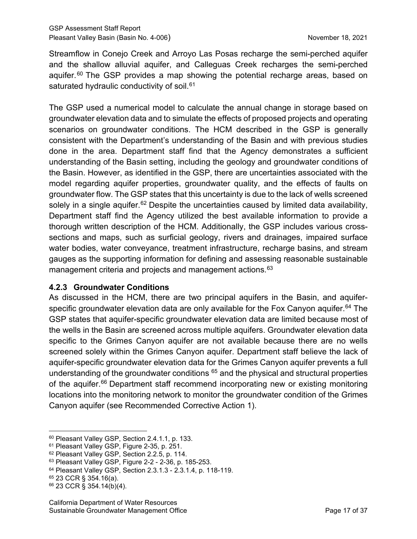Streamflow in Conejo Creek and Arroyo Las Posas recharge the semi-perched aquifer and the shallow alluvial aquifer, and Calleguas Creek recharges the semi-perched aquifer.<sup>[60](#page-22-0)</sup> The GSP provides a map showing the potential recharge areas, based on saturated hydraulic conductivity of soil. [61](#page-22-1)

The GSP used a numerical model to calculate the annual change in storage based on groundwater elevation data and to simulate the effects of proposed projects and operating scenarios on groundwater conditions. The HCM described in the GSP is generally consistent with the Department's understanding of the Basin and with previous studies done in the area. Department staff find that the Agency demonstrates a sufficient understanding of the Basin setting, including the geology and groundwater conditions of the Basin. However, as identified in the GSP, there are uncertainties associated with the model regarding aquifer properties, groundwater quality, and the effects of faults on groundwater flow. The GSP states that this uncertainty is due to the lack of wells screened solely in a single aquifer.<sup>[62](#page-22-2)</sup> Despite the uncertainties caused by limited data availability, Department staff find the Agency utilized the best available information to provide a thorough written description of the HCM. Additionally, the GSP includes various crosssections and maps, such as surficial geology, rivers and drainages, impaired surface water bodies, water conveyance, treatment infrastructure, recharge basins, and stream gauges as the supporting information for defining and assessing reasonable sustainable management criteria and projects and management actions. [63](#page-22-3)

#### **4.2.3 Groundwater Conditions**

As discussed in the HCM, there are two principal aquifers in the Basin, and aquiferspecific groundwater elevation data are only available for the Fox Canyon aquifer. [64](#page-22-4) The GSP states that aquifer-specific groundwater elevation data are limited because most of the wells in the Basin are screened across multiple aquifers. Groundwater elevation data specific to the Grimes Canyon aquifer are not available because there are no wells screened solely within the Grimes Canyon aquifer. Department staff believe the lack of aquifer-specific groundwater elevation data for the Grimes Canyon aquifer prevents a full understanding of the groundwater conditions  $65$  and the physical and structural properties of the aquifer.<sup>[66](#page-22-6)</sup> Department staff recommend incorporating new or existing monitoring locations into the monitoring network to monitor the groundwater condition of the Grimes Canyon aquifer (see Recommended Corrective Action 1).

<span id="page-22-0"></span><sup>60</sup> Pleasant Valley GSP, Section 2.4.1.1, p. 133.

<span id="page-22-1"></span><sup>61</sup> Pleasant Valley GSP, Figure 2-35, p. 251.

<span id="page-22-2"></span><sup>62</sup> Pleasant Valley GSP, Section 2.2.5, p. 114.

<span id="page-22-3"></span><sup>63</sup> Pleasant Valley GSP, Figure 2-2 - 2-36, p. 185-253.

<span id="page-22-4"></span><sup>64</sup> Pleasant Valley GSP, Section 2.3.1.3 - 2.3.1.4, p. 118-119.

<span id="page-22-5"></span><sup>65</sup> 23 CCR § 354.16(a).

<span id="page-22-6"></span><sup>66</sup> 23 CCR § 354.14(b)(4).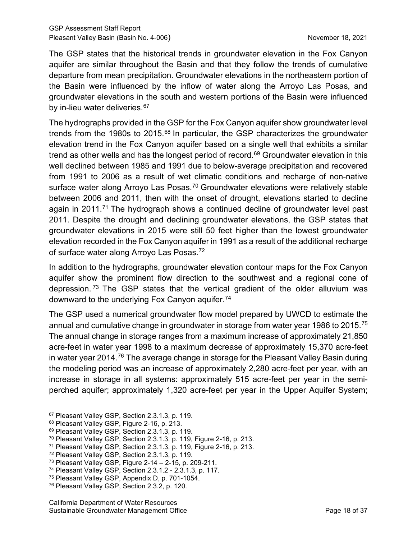The GSP states that the historical trends in groundwater elevation in the Fox Canyon aquifer are similar throughout the Basin and that they follow the trends of cumulative departure from mean precipitation. Groundwater elevations in the northeastern portion of the Basin were influenced by the inflow of water along the Arroyo Las Posas, and groundwater elevations in the south and western portions of the Basin were influenced by in-lieu water deliveries.<sup>[67](#page-23-0)</sup>

The hydrographs provided in the GSP for the Fox Canyon aquifer show groundwater level trends from the 1980s to 2015. $68$  In particular, the GSP characterizes the groundwater elevation trend in the Fox Canyon aquifer based on a single well that exhibits a similar trend as other wells and has the longest period of record.<sup>[69](#page-23-2)</sup> Groundwater elevation in this well declined between 1985 and 1991 due to below-average precipitation and recovered from 1991 to 2006 as a result of wet climatic conditions and recharge of non-native surface water along Arroyo Las Posas.<sup>70</sup> Groundwater elevations were relatively stable between 2006 and 2011, then with the onset of drought, elevations started to decline again in 2011.<sup>[71](#page-23-4)</sup> The hydrograph shows a continued decline of groundwater level past 2011. Despite the drought and declining groundwater elevations, the GSP states that groundwater elevations in 2015 were still 50 feet higher than the lowest groundwater elevation recorded in the Fox Canyon aquifer in 1991 as a result of the additional recharge of surface water along Arroyo Las Posas.<sup>[72](#page-23-5)</sup>

In addition to the hydrographs, groundwater elevation contour maps for the Fox Canyon aquifer show the prominent flow direction to the southwest and a regional cone of depression. [73](#page-23-6) The GSP states that the vertical gradient of the older alluvium was downward to the underlying Fox Canyon aquifer. [74](#page-23-7)

The GSP used a numerical groundwater flow model prepared by UWCD to estimate the annual and cumulative change in groundwater in storage from water year 1986 to 2015.<sup>[75](#page-23-8)</sup> The annual change in storage ranges from a maximum increase of approximately 21,850 acre-feet in water year 1998 to a maximum decrease of approximately 15,370 acre-feet in water year 2014.<sup>[76](#page-23-9)</sup> The average change in storage for the Pleasant Valley Basin during the modeling period was an increase of approximately 2,280 acre-feet per year, with an increase in storage in all systems: approximately 515 acre-feet per year in the semiperched aquifer; approximately 1,320 acre-feet per year in the Upper Aquifer System;

<span id="page-23-0"></span><sup>67</sup> Pleasant Valley GSP, Section 2.3.1.3, p. 119.

<span id="page-23-1"></span><sup>68</sup> Pleasant Valley GSP, Figure 2-16, p. 213.

<span id="page-23-2"></span><sup>69</sup> Pleasant Valley GSP, Section 2.3.1.3, p. 119.

<span id="page-23-3"></span><sup>70</sup> Pleasant Valley GSP, Section 2.3.1.3, p. 119, Figure 2-16, p. 213.

<span id="page-23-4"></span><sup>71</sup> Pleasant Valley GSP, Section 2.3.1.3, p. 119, Figure 2-16, p. 213.

<span id="page-23-5"></span><sup>72</sup> Pleasant Valley GSP, Section 2.3.1.3, p. 119.

<span id="page-23-6"></span><sup>73</sup> Pleasant Valley GSP, Figure 2-14 – 2-15, p. 209-211.

<span id="page-23-7"></span><sup>74</sup> Pleasant Valley GSP, Section 2.3.1.2 - 2.3.1.3, p. 117.

<span id="page-23-8"></span><sup>75</sup> Pleasant Valley GSP, Appendix D, p. 701-1054.

<span id="page-23-9"></span><sup>76</sup> Pleasant Valley GSP, Section 2.3.2, p. 120.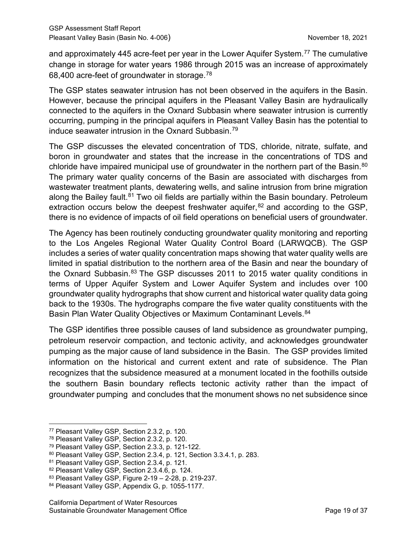and approximately 445 acre-feet per year in the Lower Aquifer System. [77](#page-24-0) The cumulative change in storage for water years 1986 through 2015 was an increase of approximately 68,400 acre-feet of groundwater in storage.[78](#page-24-1)

The GSP states seawater intrusion has not been observed in the aquifers in the Basin. However, because the principal aquifers in the Pleasant Valley Basin are hydraulically connected to the aquifers in the Oxnard Subbasin where seawater intrusion is currently occurring, pumping in the principal aquifers in Pleasant Valley Basin has the potential to induce seawater intrusion in the Oxnard Subbasin.[79](#page-24-2)

The GSP discusses the elevated concentration of TDS, chloride, nitrate, sulfate, and boron in groundwater and states that the increase in the concentrations of TDS and chloride have impaired municipal use of groundwater in the northern part of the Basin.<sup>[80](#page-24-3)</sup> The primary water quality concerns of the Basin are associated with discharges from wastewater treatment plants, dewatering wells, and saline intrusion from brine migration along the Bailey fault.<sup>[81](#page-24-4)</sup> Two oil fields are partially within the Basin boundary. Petroleum extraction occurs below the deepest freshwater aquifer, $82$  and according to the GSP, there is no evidence of impacts of oil field operations on beneficial users of groundwater.

The Agency has been routinely conducting groundwater quality monitoring and reporting to the Los Angeles Regional Water Quality Control Board (LARWQCB). The GSP includes a series of water quality concentration maps showing that water quality wells are limited in spatial distribution to the northern area of the Basin and near the boundary of the Oxnard Subbasin.<sup>[83](#page-24-6)</sup> The GSP discusses 2011 to 2015 water quality conditions in terms of Upper Aquifer System and Lower Aquifer System and includes over 100 groundwater quality hydrographs that show current and historical water quality data going back to the 1930s. The hydrographs compare the five water quality constituents with the Basin Plan Water Quality Objectives or Maximum Contaminant Levels.<sup>[84](#page-24-7)</sup>

The GSP identifies three possible causes of land subsidence as groundwater pumping, petroleum reservoir compaction, and tectonic activity, and acknowledges groundwater pumping as the major cause of land subsidence in the Basin. The GSP provides limited information on the historical and current extent and rate of subsidence. The Plan recognizes that the subsidence measured at a monument located in the foothills outside the southern Basin boundary reflects tectonic activity rather than the impact of groundwater pumping and concludes that the monument shows no net subsidence since

<span id="page-24-0"></span><sup>77</sup> Pleasant Valley GSP, Section 2.3.2, p. 120.

<span id="page-24-1"></span><sup>78</sup> Pleasant Valley GSP, Section 2.3.2, p. 120.

<span id="page-24-2"></span><sup>79</sup> Pleasant Valley GSP, Section 2.3.3, p. 121-122.

<span id="page-24-3"></span><sup>80</sup> Pleasant Valley GSP, Section 2.3.4, p. 121, Section 3.3.4.1, p. 283.

<span id="page-24-4"></span><sup>81</sup> Pleasant Valley GSP, Section 2.3.4, p. 121.

<span id="page-24-5"></span><sup>82</sup> Pleasant Valley GSP, Section 2.3.4.6, p. 124.

<span id="page-24-6"></span><sup>83</sup> Pleasant Valley GSP, Figure 2-19 – 2-28, p. 219-237.

<span id="page-24-7"></span><sup>84</sup> Pleasant Valley GSP, Appendix G, p. 1055-1177.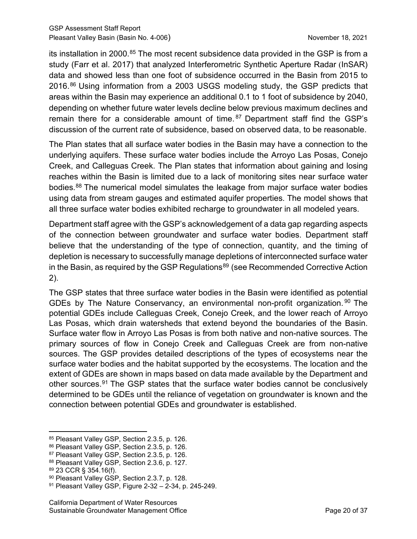its installation in 2000.<sup>[85](#page-25-0)</sup> The most recent subsidence data provided in the GSP is from a study (Farr et al. 2017) that analyzed Interferometric Synthetic Aperture Radar (InSAR) data and showed less than one foot of subsidence occurred in the Basin from 2015 to 2016.[86](#page-25-1) Using information from a 2003 USGS modeling study, the GSP predicts that areas within the Basin may experience an additional 0.1 to 1 foot of subsidence by 2040, depending on whether future water levels decline below previous maximum declines and remain there for a considerable amount of time. [87](#page-25-2) Department staff find the GSP's discussion of the current rate of subsidence, based on observed data, to be reasonable.

The Plan states that all surface water bodies in the Basin may have a connection to the underlying aquifers. These surface water bodies include the Arroyo Las Posas, Conejo Creek, and Calleguas Creek. The Plan states that information about gaining and losing reaches within the Basin is limited due to a lack of monitoring sites near surface water bodies.[88](#page-25-3) The numerical model simulates the leakage from major surface water bodies using data from stream gauges and estimated aquifer properties. The model shows that all three surface water bodies exhibited recharge to groundwater in all modeled years.

Department staff agree with the GSP's acknowledgement of a data gap regarding aspects of the connection between groundwater and surface water bodies. Department staff believe that the understanding of the type of connection, quantity, and the timing of depletion is necessary to successfully manage depletions of interconnected surface water in the Basin, as required by the GSP Regulations<sup>[89](#page-25-4)</sup> (see Recommended Corrective Action 2).

The GSP states that three surface water bodies in the Basin were identified as potential GDEs by The Nature Conservancy, an environmental non-profit organization.<sup>[90](#page-25-5)</sup> The potential GDEs include Calleguas Creek, Conejo Creek, and the lower reach of Arroyo Las Posas, which drain watersheds that extend beyond the boundaries of the Basin. Surface water flow in Arroyo Las Posas is from both native and non-native sources. The primary sources of flow in Conejo Creek and Calleguas Creek are from non-native sources. The GSP provides detailed descriptions of the types of ecosystems near the surface water bodies and the habitat supported by the ecosystems. The location and the extent of GDEs are shown in maps based on data made available by the Department and other sources.[91](#page-25-6) The GSP states that the surface water bodies cannot be conclusively determined to be GDEs until the reliance of vegetation on groundwater is known and the connection between potential GDEs and groundwater is established.

<span id="page-25-0"></span><sup>85</sup> Pleasant Valley GSP, Section 2.3.5, p. 126.

<span id="page-25-1"></span><sup>86</sup> Pleasant Valley GSP, Section 2.3.5, p. 126.

<span id="page-25-2"></span><sup>87</sup> Pleasant Valley GSP, Section 2.3.5, p. 126.

<span id="page-25-3"></span><sup>88</sup> Pleasant Valley GSP, Section 2.3.6, p. 127.

<span id="page-25-4"></span><sup>89</sup> 23 CCR § 354.16(f).

<span id="page-25-5"></span><sup>90</sup> Pleasant Valley GSP, Section 2.3.7, p. 128.

<span id="page-25-6"></span><sup>91</sup> Pleasant Valley GSP, Figure 2-32 – 2-34, p. 245-249.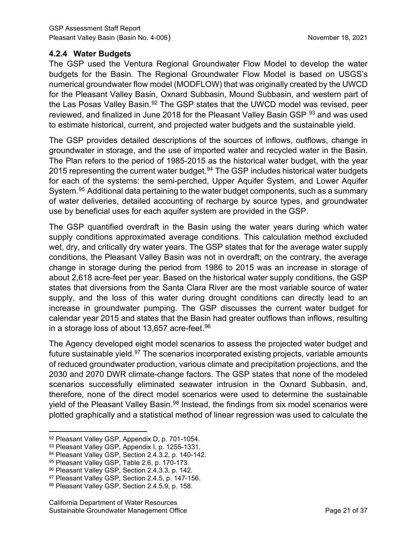#### **4.2.4 Water Budgets**

The GSP used the Ventura Regional Groundwater Flow Model to develop the water budgets for the Basin. The Regional Groundwater Flow Model is based on USGS's numerical groundwater flow model (MODFLOW) that was originally created by the UWCD for the Pleasant Valley Basin, Oxnard Subbasin, Mound Subbasin, and western part of the Las Posas Valley Basin.<sup>[92](#page-26-0)</sup> The GSP states that the UWCD model was revised, peer reviewed, and finalized in June 2018 for the Pleasant Valley Basin GSP <sup>[93](#page-26-1)</sup> and was used to estimate historical, current, and projected water budgets and the sustainable yield.

The GSP provides detailed descriptions of the sources of inflows, outflows, change in groundwater in storage, and the use of imported water and recycled water in the Basin. The Plan refers to the period of 1985-2015 as the historical water budget, with the year 2015 representing the current water budget.<sup>[94](#page-26-2)</sup> The GSP includes historical water budgets for each of the systems: the semi-perched, Upper Aquifer System, and Lower Aquifer System. [95](#page-26-3) Additional data pertaining to the water budget components, such as a summary of water deliveries, detailed accounting of recharge by source types, and groundwater use by beneficial uses for each aquifer system are provided in the GSP.

The GSP quantified overdraft in the Basin using the water years during which water supply conditions approximated average conditions. This calculation method excluded wet, dry, and critically dry water years. The GSP states that for the average water supply conditions, the Pleasant Valley Basin was not in overdraft; on the contrary, the average change in storage during the period from 1986 to 2015 was an increase in storage of about 2,618 acre-feet per year. Based on the historical water supply conditions, the GSP states that diversions from the Santa Clara River are the most variable source of water supply, and the loss of this water during drought conditions can directly lead to an increase in groundwater pumping. The GSP discusses the current water budget for calendar year 2015 and states that the Basin had greater outflows than inflows, resulting in a storage loss of about 13,657 acre-feet. $96$ 

The Agency developed eight model scenarios to assess the projected water budget and future sustainable yield.<sup>[97](#page-26-5)</sup> The scenarios incorporated existing projects, variable amounts of reduced groundwater production, various climate and precipitation projections, and the 2030 and 2070 DWR climate-change factors. The GSP states that none of the modeled scenarios successfully eliminated seawater intrusion in the Oxnard Subbasin, and, therefore, none of the direct model scenarios were used to determine the sustainable yield of the Pleasant Valley Basin.<sup>[98](#page-26-6)</sup> Instead, the findings from six model scenarios were plotted graphically and a statistical method of linear regression was used to calculate the

<span id="page-26-0"></span><sup>92</sup> Pleasant Valley GSP, Appendix D, p. 701-1054.

<span id="page-26-1"></span><sup>93</sup> Pleasant Valley GSP, Appendix I, p. 1255-1331.

<span id="page-26-2"></span><sup>94</sup> Pleasant Valley GSP, Section 2.4.3.2, p. 140-142.

<span id="page-26-3"></span><sup>95</sup> Pleasant Valley GSP, Table 2.6, p. 170-173.

<span id="page-26-4"></span><sup>96</sup> Pleasant Valley GSP, Section 2.4.3.3, p. 142.

<span id="page-26-5"></span><sup>97</sup> Pleasant Valley GSP, Section 2.4.5, p. 147-156.

<span id="page-26-6"></span><sup>98</sup> Pleasant Valley GSP, Section 2.4.5.9, p. 158.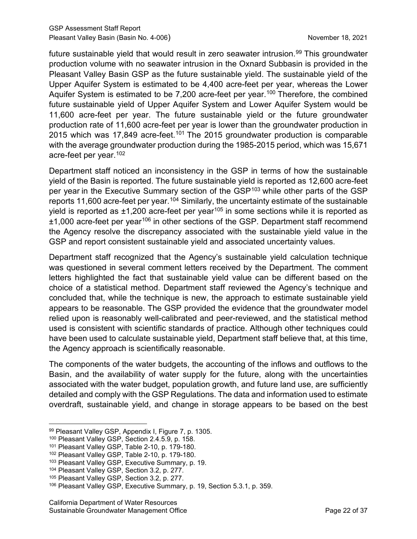future sustainable yield that would result in zero seawater intrusion.<sup>[99](#page-27-1)</sup> This groundwater production volume with no seawater intrusion in the Oxnard Subbasin is provided in the Pleasant Valley Basin GSP as the future sustainable yield. The sustainable yield of the Upper Aquifer System is estimated to be 4,400 acre-feet per year, whereas the Lower Aquifer System is estimated to be 7,200 acre-feet per year.<sup>[100](#page-27-0)</sup> Therefore, the combined future sustainable yield of Upper Aquifer System and Lower Aquifer System would be 11,600 acre-feet per year. The future sustainable yield or the future groundwater production rate of 11,600 acre-feet per year is lower than the groundwater production in 2015 which was 17,849 acre-feet.<sup>[101](#page-27-2)</sup> The 2015 groundwater production is comparable with the average groundwater production during the 1985-2015 period, which was 15,671 acre-feet per year.[102](#page-27-3)

Department staff noticed an inconsistency in the GSP in terms of how the sustainable yield of the Basin is reported. The future sustainable yield is reported as 12,600 acre-feet per year in the Executive Summary section of the GSP<sup>[103](#page-27-4)</sup> while other parts of the GSP reports 11,600 acre-feet per year.<sup>[104](#page-27-5)</sup> Similarly, the uncertainty estimate of the sustainable yield is reported as  $\pm 1,200$  acre-feet per year<sup>[105](#page-27-6)</sup> in some sections while it is reported as  $±1,000$  acre-feet per year<sup>[106](#page-27-7)</sup> in other sections of the GSP. Department staff recommend the Agency resolve the discrepancy associated with the sustainable yield value in the GSP and report consistent sustainable yield and associated uncertainty values.

Department staff recognized that the Agency's sustainable yield calculation technique was questioned in several comment letters received by the Department. The comment letters highlighted the fact that sustainable yield value can be different based on the choice of a statistical method. Department staff reviewed the Agency's technique and concluded that, while the technique is new, the approach to estimate sustainable yield appears to be reasonable. The GSP provided the evidence that the groundwater model relied upon is reasonably well-calibrated and peer-reviewed, and the statistical method used is consistent with scientific standards of practice. Although other techniques could have been used to calculate sustainable yield, Department staff believe that, at this time, the Agency approach is scientifically reasonable.

The components of the water budgets, the accounting of the inflows and outflows to the Basin, and the availability of water supply for the future, along with the uncertainties associated with the water budget, population growth, and future land use, are sufficiently detailed and comply with the GSP Regulations. The data and information used to estimate overdraft, sustainable yield, and change in storage appears to be based on the best

<span id="page-27-1"></span><sup>99</sup> Pleasant Valley GSP, Appendix I, Figure 7, p. 1305.

<span id="page-27-0"></span><sup>100</sup> Pleasant Valley GSP, Section 2.4.5.9, p. 158.

<span id="page-27-2"></span><sup>101</sup> Pleasant Valley GSP, Table 2-10, p. 179-180.

<span id="page-27-3"></span><sup>102</sup> Pleasant Valley GSP, Table 2-10, p. 179-180.

<span id="page-27-4"></span><sup>103</sup> Pleasant Valley GSP, Executive Summary, p. 19.

<span id="page-27-5"></span><sup>104</sup> Pleasant Valley GSP, Section 3.2, p. 277.

<span id="page-27-6"></span><sup>105</sup> Pleasant Valley GSP, Section 3.2, p. 277.

<span id="page-27-7"></span><sup>106</sup> Pleasant Valley GSP, Executive Summary, p. 19, Section 5.3.1, p. 359.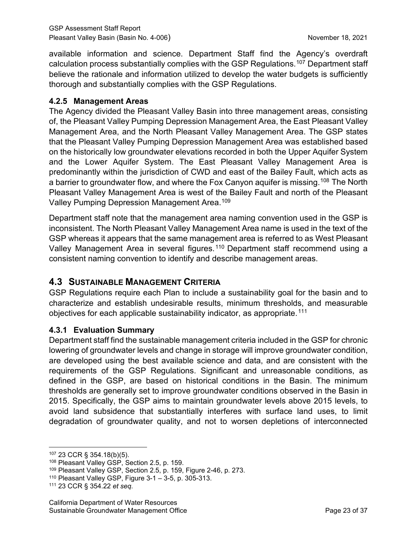available information and science. Department Staff find the Agency's overdraft calculation process substantially complies with the GSP Regulations.[107](#page-28-0) Department staff believe the rationale and information utilized to develop the water budgets is sufficiently thorough and substantially complies with the GSP Regulations.

#### **4.2.5 Management Areas**

The Agency divided the Pleasant Valley Basin into three management areas, consisting of, the Pleasant Valley Pumping Depression Management Area, the East Pleasant Valley Management Area, and the North Pleasant Valley Management Area. The GSP states that the Pleasant Valley Pumping Depression Management Area was established based on the historically low groundwater elevations recorded in both the Upper Aquifer System and the Lower Aquifer System. The East Pleasant Valley Management Area is predominantly within the jurisdiction of CWD and east of the Bailey Fault, which acts as a barrier to groundwater flow, and where the Fox Canyon aquifer is missing.<sup>108</sup> The North Pleasant Valley Management Area is west of the Bailey Fault and north of the Pleasant Valley Pumping Depression Management Area.<sup>[109](#page-28-2)</sup>

Department staff note that the management area naming convention used in the GSP is inconsistent. The North Pleasant Valley Management Area name is used in the text of the GSP whereas it appears that the same management area is referred to as West Pleasant Valley Management Area in several figures.<sup>[110](#page-28-3)</sup> Department staff recommend using a consistent naming convention to identify and describe management areas.

# **4.3 SUSTAINABLE MANAGEMENT CRITERIA**

GSP Regulations require each Plan to include a sustainability goal for the basin and to characterize and establish undesirable results, minimum thresholds, and measurable objectives for each applicable sustainability indicator, as appropriate.<sup>[111](#page-28-4)</sup>

#### **4.3.1 Evaluation Summary**

Department staff find the sustainable management criteria included in the GSP for chronic lowering of groundwater levels and change in storage will improve groundwater condition, are developed using the best available science and data, and are consistent with the requirements of the GSP Regulations. Significant and unreasonable conditions, as defined in the GSP, are based on historical conditions in the Basin. The minimum thresholds are generally set to improve groundwater conditions observed in the Basin in 2015. Specifically, the GSP aims to maintain groundwater levels above 2015 levels, to avoid land subsidence that substantially interferes with surface land uses, to limit degradation of groundwater quality, and not to worsen depletions of interconnected

<span id="page-28-0"></span><sup>107</sup> 23 CCR § 354.18(b)(5).

<span id="page-28-1"></span><sup>108</sup> Pleasant Valley GSP, Section 2.5, p. 159.

<span id="page-28-2"></span><sup>109</sup> Pleasant Valley GSP, Section 2.5, p. 159, Figure 2-46, p. 273.

<span id="page-28-3"></span><sup>110</sup> Pleasant Valley GSP, Figure 3-1 – 3-5, p. 305-313.

<span id="page-28-4"></span><sup>111</sup> 23 CCR § 354.22 *et seq*.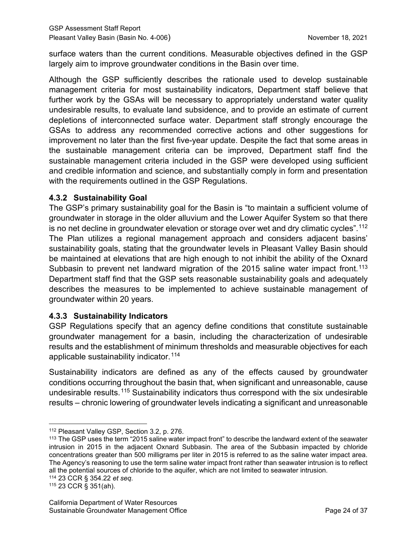surface waters than the current conditions. Measurable objectives defined in the GSP largely aim to improve groundwater conditions in the Basin over time.

Although the GSP sufficiently describes the rationale used to develop sustainable management criteria for most sustainability indicators, Department staff believe that further work by the GSAs will be necessary to appropriately understand water quality undesirable results, to evaluate land subsidence, and to provide an estimate of current depletions of interconnected surface water. Department staff strongly encourage the GSAs to address any recommended corrective actions and other suggestions for improvement no later than the first five-year update. Despite the fact that some areas in the sustainable management criteria can be improved, Department staff find the sustainable management criteria included in the GSP were developed using sufficient and credible information and science, and substantially comply in form and presentation with the requirements outlined in the GSP Regulations.

#### **4.3.2 Sustainability Goal**

The GSP's primary sustainability goal for the Basin is "to maintain a sufficient volume of groundwater in storage in the older alluvium and the Lower Aquifer System so that there is no net decline in groundwater elevation or storage over wet and dry climatic cycles".<sup>[112](#page-29-0)</sup> The Plan utilizes a regional management approach and considers adjacent basins' sustainability goals, stating that the groundwater levels in Pleasant Valley Basin should be maintained at elevations that are high enough to not inhibit the ability of the Oxnard Subbasin to prevent net landward migration of the 2015 saline water impact front.<sup>[113](#page-29-1)</sup> Department staff find that the GSP sets reasonable sustainability goals and adequately describes the measures to be implemented to achieve sustainable management of groundwater within 20 years.

#### **4.3.3 Sustainability Indicators**

GSP Regulations specify that an agency define conditions that constitute sustainable groundwater management for a basin, including the characterization of undesirable results and the establishment of minimum thresholds and measurable objectives for each applicable sustainability indicator.<sup>[114](#page-29-2)</sup>

Sustainability indicators are defined as any of the effects caused by groundwater conditions occurring throughout the basin that, when significant and unreasonable, cause undesirable results.[115](#page-29-3) Sustainability indicators thus correspond with the six undesirable results – chronic lowering of groundwater levels indicating a significant and unreasonable

<span id="page-29-0"></span><sup>112</sup> Pleasant Valley GSP, Section 3.2, p. 276.

<span id="page-29-1"></span><sup>&</sup>lt;sup>113</sup> The GSP uses the term "2015 saline water impact front" to describe the landward extent of the seawater intrusion in 2015 in the adjacent Oxnard Subbasin. The area of the Subbasin impacted by chloride concentrations greater than 500 milligrams per liter in 2015 is referred to as the saline water impact area. The Agency's reasoning to use the term saline water impact front rather than seawater intrusion is to reflect all the potential sources of chloride to the aquifer, which are not limited to seawater intrusion.

<span id="page-29-2"></span><sup>114</sup> 23 CCR § 354.22 *et seq*.

<span id="page-29-3"></span><sup>115</sup> 23 CCR § 351(ah).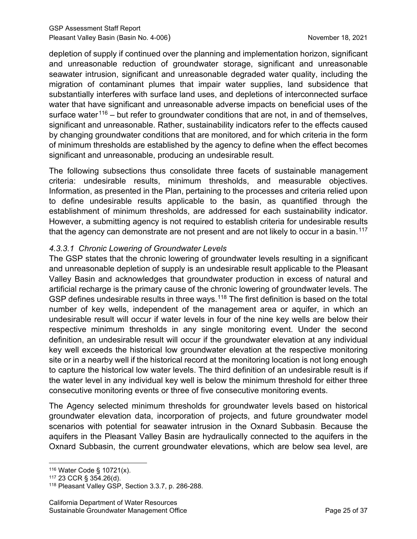depletion of supply if continued over the planning and implementation horizon, significant and unreasonable reduction of groundwater storage, significant and unreasonable seawater intrusion, significant and unreasonable degraded water quality, including the migration of contaminant plumes that impair water supplies, land subsidence that substantially interferes with surface land uses, and depletions of interconnected surface water that have significant and unreasonable adverse impacts on beneficial uses of the surface water<sup>[116](#page-30-0)</sup> – but refer to groundwater conditions that are not, in and of themselves, significant and unreasonable. Rather, sustainability indicators refer to the effects caused by changing groundwater conditions that are monitored, and for which criteria in the form of minimum thresholds are established by the agency to define when the effect becomes significant and unreasonable, producing an undesirable result.

The following subsections thus consolidate three facets of sustainable management criteria: undesirable results, minimum thresholds, and measurable objectives. Information, as presented in the Plan, pertaining to the processes and criteria relied upon to define undesirable results applicable to the basin, as quantified through the establishment of minimum thresholds, are addressed for each sustainability indicator. However, a submitting agency is not required to establish criteria for undesirable results that the agency can demonstrate are not present and are not likely to occur in a basin.<sup>[117](#page-30-1)</sup>

## *4.3.3.1 Chronic Lowering of Groundwater Levels*

The GSP states that the chronic lowering of groundwater levels resulting in a significant and unreasonable depletion of supply is an undesirable result applicable to the Pleasant Valley Basin and acknowledges that groundwater production in excess of natural and artificial recharge is the primary cause of the chronic lowering of groundwater levels. The GSP defines undesirable results in three ways.<sup>[118](#page-30-2)</sup> The first definition is based on the total number of key wells, independent of the management area or aquifer, in which an undesirable result will occur if water levels in four of the nine key wells are below their respective minimum thresholds in any single monitoring event. Under the second definition, an undesirable result will occur if the groundwater elevation at any individual key well exceeds the historical low groundwater elevation at the respective monitoring site or in a nearby well if the historical record at the monitoring location is not long enough to capture the historical low water levels. The third definition of an undesirable result is if the water level in any individual key well is below the minimum threshold for either three consecutive monitoring events or three of five consecutive monitoring events.

The Agency selected minimum thresholds for groundwater levels based on historical groundwater elevation data, incorporation of projects, and future groundwater model scenarios with potential for seawater intrusion in the Oxnard Subbasin. Because the aquifers in the Pleasant Valley Basin are hydraulically connected to the aquifers in the Oxnard Subbasin, the current groundwater elevations, which are below sea level, are

<span id="page-30-0"></span><sup>116</sup> Water Code § 10721(x).

<span id="page-30-1"></span><sup>117</sup> 23 CCR § 354.26(d).

<span id="page-30-2"></span><sup>118</sup> Pleasant Valley GSP, Section 3.3.7, p. 286-288.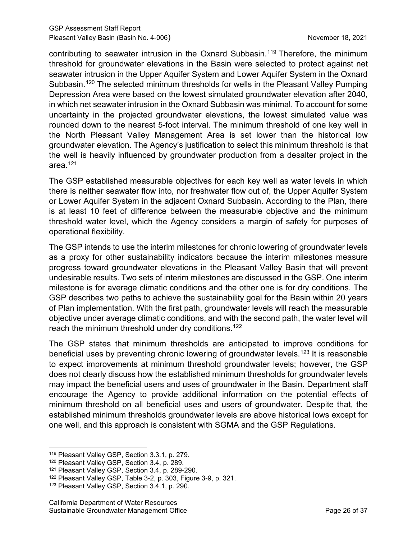contributing to seawater intrusion in the Oxnard Subbasin.[119](#page-31-0) Therefore, the minimum threshold for groundwater elevations in the Basin were selected to protect against net seawater intrusion in the Upper Aquifer System and Lower Aquifer System in the Oxnard Subbasin.<sup>[120](#page-31-1)</sup> The selected minimum thresholds for wells in the Pleasant Valley Pumping Depression Area were based on the lowest simulated groundwater elevation after 2040, in which net seawater intrusion in the Oxnard Subbasin was minimal. To account for some uncertainty in the projected groundwater elevations, the lowest simulated value was rounded down to the nearest 5-foot interval. The minimum threshold of one key well in the North Pleasant Valley Management Area is set lower than the historical low groundwater elevation. The Agency's justification to select this minimum threshold is that the well is heavily influenced by groundwater production from a desalter project in the area.[121](#page-31-2)

The GSP established measurable objectives for each key well as water levels in which there is neither seawater flow into, nor freshwater flow out of, the Upper Aquifer System or Lower Aquifer System in the adjacent Oxnard Subbasin. According to the Plan, there is at least 10 feet of difference between the measurable objective and the minimum threshold water level, which the Agency considers a margin of safety for purposes of operational flexibility.

The GSP intends to use the interim milestones for chronic lowering of groundwater levels as a proxy for other sustainability indicators because the interim milestones measure progress toward groundwater elevations in the Pleasant Valley Basin that will prevent undesirable results. Two sets of interim milestones are discussed in the GSP. One interim milestone is for average climatic conditions and the other one is for dry conditions. The GSP describes two paths to achieve the sustainability goal for the Basin within 20 years of Plan implementation. With the first path, groundwater levels will reach the measurable objective under average climatic conditions, and with the second path, the water level will reach the minimum threshold under dry conditions.<sup>[122](#page-31-3)</sup>

The GSP states that minimum thresholds are anticipated to improve conditions for beneficial uses by preventing chronic lowering of groundwater levels.<sup>[123](#page-31-4)</sup> It is reasonable to expect improvements at minimum threshold groundwater levels; however, the GSP does not clearly discuss how the established minimum thresholds for groundwater levels may impact the beneficial users and uses of groundwater in the Basin. Department staff encourage the Agency to provide additional information on the potential effects of minimum threshold on all beneficial uses and users of groundwater. Despite that, the established minimum thresholds groundwater levels are above historical lows except for one well, and this approach is consistent with SGMA and the GSP Regulations.

<span id="page-31-0"></span><sup>119</sup> Pleasant Valley GSP, Section 3.3.1, p. 279.

<span id="page-31-1"></span><sup>120</sup> Pleasant Valley GSP, Section 3.4, p. 289.

<span id="page-31-2"></span><sup>121</sup> Pleasant Valley GSP, Section 3.4, p. 289-290.

<span id="page-31-3"></span><sup>122</sup> Pleasant Valley GSP, Table 3-2, p. 303, Figure 3-9, p. 321.

<span id="page-31-4"></span><sup>123</sup> Pleasant Valley GSP, Section 3.4.1, p. 290.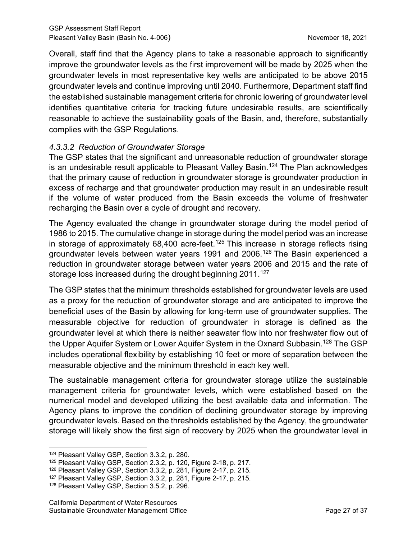Overall, staff find that the Agency plans to take a reasonable approach to significantly improve the groundwater levels as the first improvement will be made by 2025 when the groundwater levels in most representative key wells are anticipated to be above 2015 groundwater levels and continue improving until 2040. Furthermore, Department staff find the established sustainable management criteria for chronic lowering of groundwater level identifies quantitative criteria for tracking future undesirable results, are scientifically reasonable to achieve the sustainability goals of the Basin, and, therefore, substantially complies with the GSP Regulations.

#### *4.3.3.2 Reduction of Groundwater Storage*

The GSP states that the significant and unreasonable reduction of groundwater storage is an undesirable result applicable to Pleasant Valley Basin.<sup>[124](#page-32-0)</sup> The Plan acknowledges that the primary cause of reduction in groundwater storage is groundwater production in excess of recharge and that groundwater production may result in an undesirable result if the volume of water produced from the Basin exceeds the volume of freshwater recharging the Basin over a cycle of drought and recovery.

The Agency evaluated the change in groundwater storage during the model period of 1986 to 2015. The cumulative change in storage during the model period was an increase in storage of approximately  $68,400$  acre-feet.<sup>[125](#page-32-1)</sup> This increase in storage reflects rising groundwater levels between water years 1991 and 2006. [126](#page-32-2) The Basin experienced a reduction in groundwater storage between water years 2006 and 2015 and the rate of storage loss increased during the drought beginning 2011.<sup>[127](#page-32-3)</sup>

The GSP states that the minimum thresholds established for groundwater levels are used as a proxy for the reduction of groundwater storage and are anticipated to improve the beneficial uses of the Basin by allowing for long-term use of groundwater supplies. The measurable objective for reduction of groundwater in storage is defined as the groundwater level at which there is neither seawater flow into nor freshwater flow out of the Upper Aquifer System or Lower Aquifer System in the Oxnard Subbasin.<sup>[128](#page-32-4)</sup> The GSP includes operational flexibility by establishing 10 feet or more of separation between the measurable objective and the minimum threshold in each key well.

The sustainable management criteria for groundwater storage utilize the sustainable management criteria for groundwater levels, which were established based on the numerical model and developed utilizing the best available data and information. The Agency plans to improve the condition of declining groundwater storage by improving groundwater levels. Based on the thresholds established by the Agency, the groundwater storage will likely show the first sign of recovery by 2025 when the groundwater level in

<span id="page-32-0"></span><sup>124</sup> Pleasant Valley GSP, Section 3.3.2, p. 280.

<span id="page-32-1"></span><sup>125</sup> Pleasant Valley GSP, Section 2.3.2, p. 120, Figure 2-18, p. 217.

<span id="page-32-2"></span><sup>126</sup> Pleasant Valley GSP, Section 3.3.2, p. 281, Figure 2-17, p. 215.

<span id="page-32-3"></span><sup>127</sup> Pleasant Valley GSP, Section 3.3.2, p. 281, Figure 2-17, p. 215.

<span id="page-32-4"></span><sup>128</sup> Pleasant Valley GSP, Section 3.5.2, p. 296.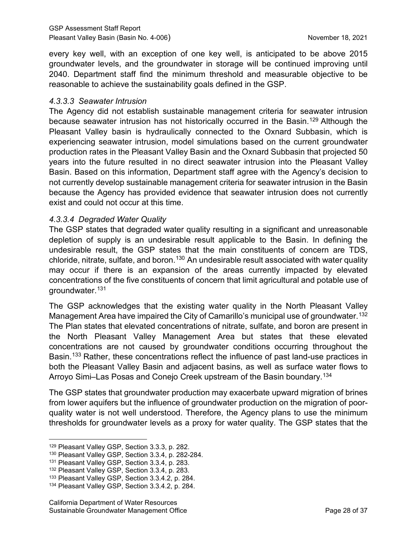every key well, with an exception of one key well, is anticipated to be above 2015 groundwater levels, and the groundwater in storage will be continued improving until 2040. Department staff find the minimum threshold and measurable objective to be reasonable to achieve the sustainability goals defined in the GSP.

#### *4.3.3.3 Seawater Intrusion*

The Agency did not establish sustainable management criteria for seawater intrusion because seawater intrusion has not historically occurred in the Basin. [129](#page-33-0) Although the Pleasant Valley basin is hydraulically connected to the Oxnard Subbasin, which is experiencing seawater intrusion, model simulations based on the current groundwater production rates in the Pleasant Valley Basin and the Oxnard Subbasin that projected 50 years into the future resulted in no direct seawater intrusion into the Pleasant Valley Basin. Based on this information, Department staff agree with the Agency's decision to not currently develop sustainable management criteria for seawater intrusion in the Basin because the Agency has provided evidence that seawater intrusion does not currently exist and could not occur at this time.

#### *4.3.3.4 Degraded Water Quality*

The GSP states that degraded water quality resulting in a significant and unreasonable depletion of supply is an undesirable result applicable to the Basin. In defining the undesirable result, the GSP states that the main constituents of concern are TDS, chloride, nitrate, sulfate, and boron.<sup>[130](#page-33-1)</sup> An undesirable result associated with water quality may occur if there is an expansion of the areas currently impacted by elevated concentrations of the five constituents of concern that limit agricultural and potable use of groundwater.[131](#page-33-2)

The GSP acknowledges that the existing water quality in the North Pleasant Valley Management Area have impaired the City of Camarillo's municipal use of groundwater. [132](#page-33-3) The Plan states that elevated concentrations of nitrate, sulfate, and boron are present in the North Pleasant Valley Management Area but states that these elevated concentrations are not caused by groundwater conditions occurring throughout the Basin.<sup>[133](#page-33-4)</sup> Rather, these concentrations reflect the influence of past land-use practices in both the Pleasant Valley Basin and adjacent basins, as well as surface water flows to Arroyo Simi–Las Posas and Conejo Creek upstream of the Basin boundary.<sup>[134](#page-33-5)</sup>

The GSP states that groundwater production may exacerbate upward migration of brines from lower aquifers but the influence of groundwater production on the migration of poorquality water is not well understood. Therefore, the Agency plans to use the minimum thresholds for groundwater levels as a proxy for water quality. The GSP states that the

<span id="page-33-0"></span><sup>129</sup> Pleasant Valley GSP, Section 3.3.3, p. 282.

<span id="page-33-1"></span><sup>130</sup> Pleasant Valley GSP, Section 3.3.4, p. 282-284.

<span id="page-33-2"></span><sup>131</sup> Pleasant Valley GSP, Section 3.3.4, p. 283.

<span id="page-33-3"></span><sup>132</sup> Pleasant Valley GSP, Section 3.3.4, p. 283.

<span id="page-33-4"></span><sup>133</sup> Pleasant Valley GSP, Section 3.3.4.2, p. 284.

<span id="page-33-5"></span><sup>134</sup> Pleasant Valley GSP, Section 3.3.4.2, p. 284.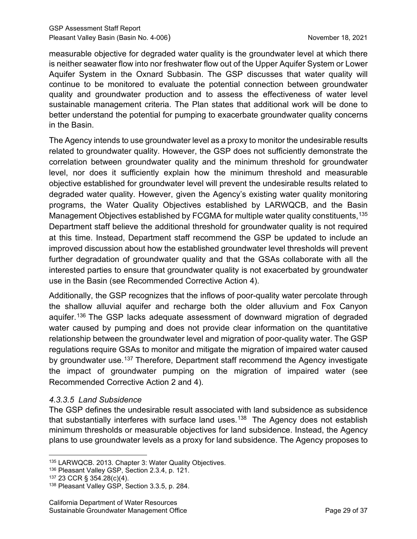measurable objective for degraded water quality is the groundwater level at which there is neither seawater flow into nor freshwater flow out of the Upper Aquifer System or Lower Aquifer System in the Oxnard Subbasin. The GSP discusses that water quality will continue to be monitored to evaluate the potential connection between groundwater quality and groundwater production and to assess the effectiveness of water level sustainable management criteria. The Plan states that additional work will be done to better understand the potential for pumping to exacerbate groundwater quality concerns in the Basin.

The Agency intends to use groundwater level as a proxy to monitor the undesirable results related to groundwater quality. However, the GSP does not sufficiently demonstrate the correlation between groundwater quality and the minimum threshold for groundwater level, nor does it sufficiently explain how the minimum threshold and measurable objective established for groundwater level will prevent the undesirable results related to degraded water quality. However, given the Agency's existing water quality monitoring programs, the Water Quality Objectives established by LARWQCB, and the Basin Management Objectives established by FCGMA for multiple water quality constituents, [135](#page-34-0) Department staff believe the additional threshold for groundwater quality is not required at this time. Instead, Department staff recommend the GSP be updated to include an improved discussion about how the established groundwater level thresholds will prevent further degradation of groundwater quality and that the GSAs collaborate with all the interested parties to ensure that groundwater quality is not exacerbated by groundwater use in the Basin (see Recommended Corrective Action 4).

Additionally, the GSP recognizes that the inflows of poor-quality water percolate through the shallow alluvial aquifer and recharge both the older alluvium and Fox Canyon aquifer.<sup>[136](#page-34-1)</sup> The GSP lacks adequate assessment of downward migration of degraded water caused by pumping and does not provide clear information on the quantitative relationship between the groundwater level and migration of poor-quality water. The GSP regulations require GSAs to monitor and mitigate the migration of impaired water caused by groundwater use.<sup>[137](#page-34-2)</sup> Therefore, Department staff recommend the Agency investigate the impact of groundwater pumping on the migration of impaired water (see Recommended Corrective Action 2 and 4).

# *4.3.3.5 Land Subsidence*

The GSP defines the undesirable result associated with land subsidence as subsidence that substantially interferes with surface land uses.<sup>[138](#page-34-3)</sup> The Agency does not establish minimum thresholds or measurable objectives for land subsidence. Instead, the Agency plans to use groundwater levels as a proxy for land subsidence. The Agency proposes to

<span id="page-34-0"></span><sup>135</sup> LARWQCB. 2013. Chapter 3: Water Quality Objectives.

<span id="page-34-1"></span><sup>136</sup> Pleasant Valley GSP, Section 2.3.4, p. 121.

<span id="page-34-2"></span><sup>137</sup> 23 CCR § 354.28(c)(4).

<span id="page-34-3"></span><sup>138</sup> Pleasant Valley GSP, Section 3.3.5, p. 284.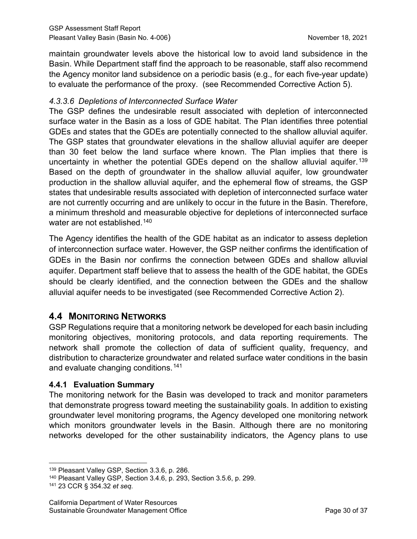maintain groundwater levels above the historical low to avoid land subsidence in the Basin. While Department staff find the approach to be reasonable, staff also recommend the Agency monitor land subsidence on a periodic basis (e.g., for each five-year update) to evaluate the performance of the proxy. (see Recommended Corrective Action 5).

#### *4.3.3.6 Depletions of Interconnected Surface Water*

The GSP defines the undesirable result associated with depletion of interconnected surface water in the Basin as a loss of GDE habitat. The Plan identifies three potential GDEs and states that the GDEs are potentially connected to the shallow alluvial aquifer. The GSP states that groundwater elevations in the shallow alluvial aquifer are deeper than 30 feet below the land surface where known. The Plan implies that there is uncertainty in whether the potential GDEs depend on the shallow alluvial aquifer.<sup>[139](#page-35-0)</sup> Based on the depth of groundwater in the shallow alluvial aquifer, low groundwater production in the shallow alluvial aquifer, and the ephemeral flow of streams, the GSP states that undesirable results associated with depletion of interconnected surface water are not currently occurring and are unlikely to occur in the future in the Basin. Therefore, a minimum threshold and measurable objective for depletions of interconnected surface water are not established.<sup>[140](#page-35-1)</sup>

The Agency identifies the health of the GDE habitat as an indicator to assess depletion of interconnection surface water. However, the GSP neither confirms the identification of GDEs in the Basin nor confirms the connection between GDEs and shallow alluvial aquifer. Department staff believe that to assess the health of the GDE habitat, the GDEs should be clearly identified, and the connection between the GDEs and the shallow alluvial aquifer needs to be investigated (see Recommended Corrective Action 2).

# **4.4 MONITORING NETWORKS**

GSP Regulations require that a monitoring network be developed for each basin including monitoring objectives, monitoring protocols, and data reporting requirements. The network shall promote the collection of data of sufficient quality, frequency, and distribution to characterize groundwater and related surface water conditions in the basin and evaluate changing conditions.[141](#page-35-2)

# **4.4.1 Evaluation Summary**

The monitoring network for the Basin was developed to track and monitor parameters that demonstrate progress toward meeting the sustainability goals. In addition to existing groundwater level monitoring programs, the Agency developed one monitoring network which monitors groundwater levels in the Basin. Although there are no monitoring networks developed for the other sustainability indicators, the Agency plans to use

<span id="page-35-0"></span><sup>139</sup> Pleasant Valley GSP, Section 3.3.6, p. 286.

<span id="page-35-1"></span><sup>140</sup> Pleasant Valley GSP, Section 3.4.6, p. 293, Section 3.5.6, p. 299.

<span id="page-35-2"></span><sup>141</sup> 23 CCR § 354.32 *et seq*.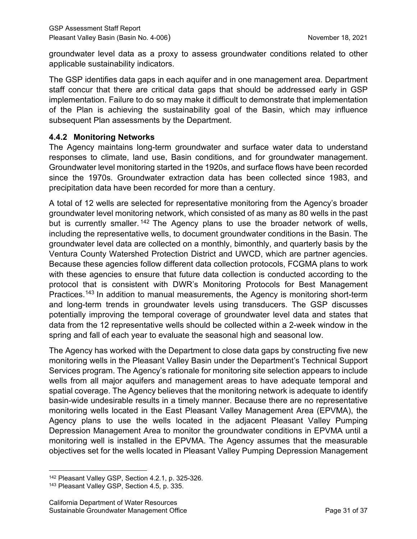groundwater level data as a proxy to assess groundwater conditions related to other applicable sustainability indicators.

The GSP identifies data gaps in each aquifer and in one management area. Department staff concur that there are critical data gaps that should be addressed early in GSP implementation. Failure to do so may make it difficult to demonstrate that implementation of the Plan is achieving the sustainability goal of the Basin, which may influence subsequent Plan assessments by the Department.

#### **4.4.2 Monitoring Networks**

The Agency maintains long-term groundwater and surface water data to understand responses to climate, land use, Basin conditions, and for groundwater management. Groundwater level monitoring started in the 1920s, and surface flows have been recorded since the 1970s. Groundwater extraction data has been collected since 1983, and precipitation data have been recorded for more than a century.

A total of 12 wells are selected for representative monitoring from the Agency's broader groundwater level monitoring network, which consisted of as many as 80 wells in the past but is currently smaller.<sup>[142](#page-36-0)</sup> The Agency plans to use the broader network of wells, including the representative wells, to document groundwater conditions in the Basin. The groundwater level data are collected on a monthly, bimonthly, and quarterly basis by the Ventura County Watershed Protection District and UWCD, which are partner agencies. Because these agencies follow different data collection protocols, FCGMA plans to work with these agencies to ensure that future data collection is conducted according to the protocol that is consistent with DWR's Monitoring Protocols for Best Management Practices.<sup>[143](#page-36-1)</sup> In addition to manual measurements, the Agency is monitoring short-term and long-term trends in groundwater levels using transducers. The GSP discusses potentially improving the temporal coverage of groundwater level data and states that data from the 12 representative wells should be collected within a 2-week window in the spring and fall of each year to evaluate the seasonal high and seasonal low.

The Agency has worked with the Department to close data gaps by constructing five new monitoring wells in the Pleasant Valley Basin under the Department's Technical Support Services program. The Agency's rationale for monitoring site selection appears to include wells from all major aquifers and management areas to have adequate temporal and spatial coverage. The Agency believes that the monitoring network is adequate to identify basin-wide undesirable results in a timely manner. Because there are no representative monitoring wells located in the East Pleasant Valley Management Area (EPVMA), the Agency plans to use the wells located in the adjacent Pleasant Valley Pumping Depression Management Area to monitor the groundwater conditions in EPVMA until a monitoring well is installed in the EPVMA. The Agency assumes that the measurable objectives set for the wells located in Pleasant Valley Pumping Depression Management

<span id="page-36-0"></span><sup>142</sup> Pleasant Valley GSP, Section 4.2.1, p. 325-326.

<span id="page-36-1"></span><sup>143</sup> Pleasant Valley GSP, Section 4.5, p. 335.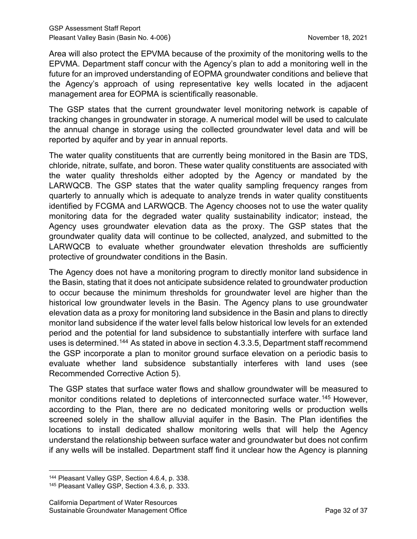Area will also protect the EPVMA because of the proximity of the monitoring wells to the EPVMA. Department staff concur with the Agency's plan to add a monitoring well in the future for an improved understanding of EOPMA groundwater conditions and believe that the Agency's approach of using representative key wells located in the adjacent management area for EOPMA is scientifically reasonable.

The GSP states that the current groundwater level monitoring network is capable of tracking changes in groundwater in storage. A numerical model will be used to calculate the annual change in storage using the collected groundwater level data and will be reported by aquifer and by year in annual reports.

The water quality constituents that are currently being monitored in the Basin are TDS, chloride, nitrate, sulfate, and boron. These water quality constituents are associated with the water quality thresholds either adopted by the Agency or mandated by the LARWQCB. The GSP states that the water quality sampling frequency ranges from quarterly to annually which is adequate to analyze trends in water quality constituents identified by FCGMA and LARWQCB. The Agency chooses not to use the water quality monitoring data for the degraded water quality sustainability indicator; instead, the Agency uses groundwater elevation data as the proxy. The GSP states that the groundwater quality data will continue to be collected, analyzed, and submitted to the LARWQCB to evaluate whether groundwater elevation thresholds are sufficiently protective of groundwater conditions in the Basin.

The Agency does not have a monitoring program to directly monitor land subsidence in the Basin, stating that it does not anticipate subsidence related to groundwater production to occur because the minimum thresholds for groundwater level are higher than the historical low groundwater levels in the Basin. The Agency plans to use groundwater elevation data as a proxy for monitoring land subsidence in the Basin and plans to directly monitor land subsidence if the water level falls below historical low levels for an extended period and the potential for land subsidence to substantially interfere with surface land uses is determined.<sup>[144](#page-37-0)</sup> As stated in above in section 4.3.3.5, Department staff recommend the GSP incorporate a plan to monitor ground surface elevation on a periodic basis to evaluate whether land subsidence substantially interferes with land uses (see Recommended Corrective Action 5).

The GSP states that surface water flows and shallow groundwater will be measured to monitor conditions related to depletions of interconnected surface water.<sup>[145](#page-37-1)</sup> However, according to the Plan, there are no dedicated monitoring wells or production wells screened solely in the shallow alluvial aquifer in the Basin. The Plan identifies the locations to install dedicated shallow monitoring wells that will help the Agency understand the relationship between surface water and groundwater but does not confirm if any wells will be installed. Department staff find it unclear how the Agency is planning

<span id="page-37-0"></span><sup>144</sup> Pleasant Valley GSP, Section 4.6.4, p. 338.

<span id="page-37-1"></span><sup>145</sup> Pleasant Valley GSP, Section 4.3.6, p. 333.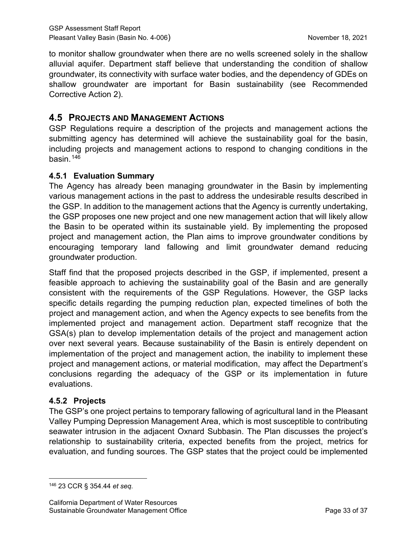to monitor shallow groundwater when there are no wells screened solely in the shallow alluvial aquifer. Department staff believe that understanding the condition of shallow groundwater, its connectivity with surface water bodies, and the dependency of GDEs on shallow groundwater are important for Basin sustainability (see Recommended Corrective Action 2).

# **4.5 PROJECTS AND MANAGEMENT ACTIONS**

GSP Regulations require a description of the projects and management actions the submitting agency has determined will achieve the sustainability goal for the basin, including projects and management actions to respond to changing conditions in the basin.[146](#page-38-0)

## **4.5.1 Evaluation Summary**

The Agency has already been managing groundwater in the Basin by implementing various management actions in the past to address the undesirable results described in the GSP. In addition to the management actions that the Agency is currently undertaking, the GSP proposes one new project and one new management action that will likely allow the Basin to be operated within its sustainable yield. By implementing the proposed project and management action, the Plan aims to improve groundwater conditions by encouraging temporary land fallowing and limit groundwater demand reducing groundwater production.

Staff find that the proposed projects described in the GSP, if implemented, present a feasible approach to achieving the sustainability goal of the Basin and are generally consistent with the requirements of the GSP Regulations. However, the GSP lacks specific details regarding the pumping reduction plan, expected timelines of both the project and management action, and when the Agency expects to see benefits from the implemented project and management action. Department staff recognize that the GSA(s) plan to develop implementation details of the project and management action over next several years. Because sustainability of the Basin is entirely dependent on implementation of the project and management action, the inability to implement these project and management actions, or material modification, may affect the Department's conclusions regarding the adequacy of the GSP or its implementation in future evaluations.

#### **4.5.2 Projects**

The GSP's one project pertains to temporary fallowing of agricultural land in the Pleasant Valley Pumping Depression Management Area, which is most susceptible to contributing seawater intrusion in the adjacent Oxnard Subbasin. The Plan discusses the project's relationship to sustainability criteria, expected benefits from the project, metrics for evaluation, and funding sources. The GSP states that the project could be implemented

<span id="page-38-0"></span><sup>146</sup> 23 CCR § 354.44 *et seq*.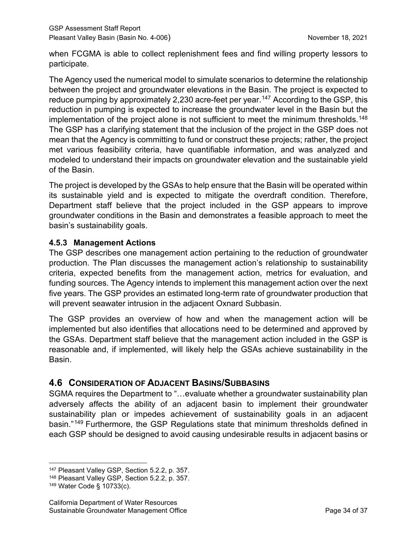when FCGMA is able to collect replenishment fees and find willing property lessors to participate.

The Agency used the numerical model to simulate scenarios to determine the relationship between the project and groundwater elevations in the Basin. The project is expected to reduce pumping by approximately 2,230 acre-feet per year.<sup>[147](#page-39-0)</sup> According to the GSP, this reduction in pumping is expected to increase the groundwater level in the Basin but the implementation of the project alone is not sufficient to meet the minimum thresholds.<sup>[148](#page-39-1)</sup> The GSP has a clarifying statement that the inclusion of the project in the GSP does not mean that the Agency is committing to fund or construct these projects; rather, the project met various feasibility criteria, have quantifiable information, and was analyzed and modeled to understand their impacts on groundwater elevation and the sustainable yield of the Basin.

The project is developed by the GSAs to help ensure that the Basin will be operated within its sustainable yield and is expected to mitigate the overdraft condition. Therefore, Department staff believe that the project included in the GSP appears to improve groundwater conditions in the Basin and demonstrates a feasible approach to meet the basin's sustainability goals.

## **4.5.3 Management Actions**

The GSP describes one management action pertaining to the reduction of groundwater production. The Plan discusses the management action's relationship to sustainability criteria, expected benefits from the management action, metrics for evaluation, and funding sources. The Agency intends to implement this management action over the next five years. The GSP provides an estimated long-term rate of groundwater production that will prevent seawater intrusion in the adjacent Oxnard Subbasin.

The GSP provides an overview of how and when the management action will be implemented but also identifies that allocations need to be determined and approved by the GSAs. Department staff believe that the management action included in the GSP is reasonable and, if implemented, will likely help the GSAs achieve sustainability in the Basin.

# **4.6 CONSIDERATION OF ADJACENT BASINS/SUBBASINS**

SGMA requires the Department to "…evaluate whether a groundwater sustainability plan adversely affects the ability of an adjacent basin to implement their groundwater sustainability plan or impedes achievement of sustainability goals in an adjacent basin."[149](#page-39-2) Furthermore, the GSP Regulations state that minimum thresholds defined in each GSP should be designed to avoid causing undesirable results in adjacent basins or

<span id="page-39-0"></span><sup>147</sup> Pleasant Valley GSP, Section 5.2.2, p. 357.

<span id="page-39-1"></span><sup>148</sup> Pleasant Valley GSP, Section 5.2.2, p. 357.

<span id="page-39-2"></span><sup>149</sup> Water Code § 10733(c).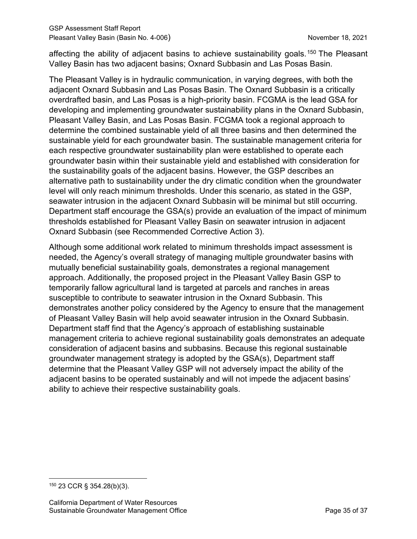affecting the ability of adjacent basins to achieve sustainability goals.<sup>[150](#page-40-0)</sup> The Pleasant Valley Basin has two adjacent basins; Oxnard Subbasin and Las Posas Basin.

The Pleasant Valley is in hydraulic communication, in varying degrees, with both the adjacent Oxnard Subbasin and Las Posas Basin. The Oxnard Subbasin is a critically overdrafted basin, and Las Posas is a high-priority basin. FCGMA is the lead GSA for developing and implementing groundwater sustainability plans in the Oxnard Subbasin, Pleasant Valley Basin, and Las Posas Basin. FCGMA took a regional approach to determine the combined sustainable yield of all three basins and then determined the sustainable yield for each groundwater basin. The sustainable management criteria for each respective groundwater sustainability plan were established to operate each groundwater basin within their sustainable yield and established with consideration for the sustainability goals of the adjacent basins. However, the GSP describes an alternative path to sustainability under the dry climatic condition when the groundwater level will only reach minimum thresholds. Under this scenario, as stated in the GSP, seawater intrusion in the adjacent Oxnard Subbasin will be minimal but still occurring. Department staff encourage the GSA(s) provide an evaluation of the impact of minimum thresholds established for Pleasant Valley Basin on seawater intrusion in adjacent Oxnard Subbasin (see Recommended Corrective Action 3).

Although some additional work related to minimum thresholds impact assessment is needed, the Agency's overall strategy of managing multiple groundwater basins with mutually beneficial sustainability goals, demonstrates a regional management approach. Additionally, the proposed project in the Pleasant Valley Basin GSP to temporarily fallow agricultural land is targeted at parcels and ranches in areas susceptible to contribute to seawater intrusion in the Oxnard Subbasin. This demonstrates another policy considered by the Agency to ensure that the management of Pleasant Valley Basin will help avoid seawater intrusion in the Oxnard Subbasin. Department staff find that the Agency's approach of establishing sustainable management criteria to achieve regional sustainability goals demonstrates an adequate consideration of adjacent basins and subbasins. Because this regional sustainable groundwater management strategy is adopted by the GSA(s), Department staff determine that the Pleasant Valley GSP will not adversely impact the ability of the adjacent basins to be operated sustainably and will not impede the adjacent basins' ability to achieve their respective sustainability goals.

<span id="page-40-0"></span><sup>150</sup> 23 CCR § 354.28(b)(3).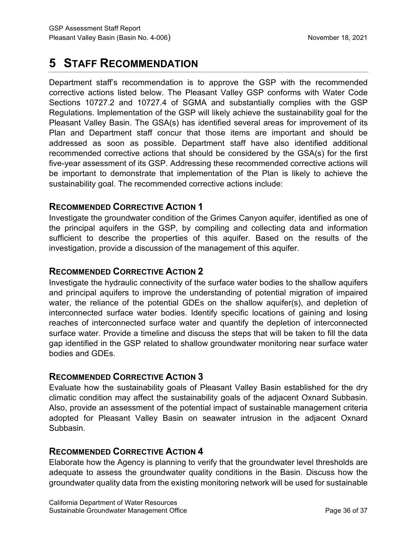# **5 STAFF RECOMMENDATION**

Department staff's recommendation is to approve the GSP with the recommended corrective actions listed below. The Pleasant Valley GSP conforms with Water Code Sections 10727.2 and 10727.4 of SGMA and substantially complies with the GSP Regulations. Implementation of the GSP will likely achieve the sustainability goal for the Pleasant Valley Basin. The GSA(s) has identified several areas for improvement of its Plan and Department staff concur that those items are important and should be addressed as soon as possible. Department staff have also identified additional recommended corrective actions that should be considered by the GSA(s) for the first five-year assessment of its GSP. Addressing these recommended corrective actions will be important to demonstrate that implementation of the Plan is likely to achieve the sustainability goal. The recommended corrective actions include:

# **RECOMMENDED CORRECTIVE ACTION 1**

Investigate the groundwater condition of the Grimes Canyon aquifer, identified as one of the principal aquifers in the GSP, by compiling and collecting data and information sufficient to describe the properties of this aquifer. Based on the results of the investigation, provide a discussion of the management of this aquifer.

# **RECOMMENDED CORRECTIVE ACTION 2**

Investigate the hydraulic connectivity of the surface water bodies to the shallow aquifers and principal aquifers to improve the understanding of potential migration of impaired water, the reliance of the potential GDEs on the shallow aquifer(s), and depletion of interconnected surface water bodies. Identify specific locations of gaining and losing reaches of interconnected surface water and quantify the depletion of interconnected surface water. Provide a timeline and discuss the steps that will be taken to fill the data gap identified in the GSP related to shallow groundwater monitoring near surface water bodies and GDEs.

# **RECOMMENDED CORRECTIVE ACTION 3**

Evaluate how the sustainability goals of Pleasant Valley Basin established for the dry climatic condition may affect the sustainability goals of the adjacent Oxnard Subbasin. Also, provide an assessment of the potential impact of sustainable management criteria adopted for Pleasant Valley Basin on seawater intrusion in the adjacent Oxnard Subbasin.

# **RECOMMENDED CORRECTIVE ACTION 4**

Elaborate how the Agency is planning to verify that the groundwater level thresholds are adequate to assess the groundwater quality conditions in the Basin. Discuss how the groundwater quality data from the existing monitoring network will be used for sustainable